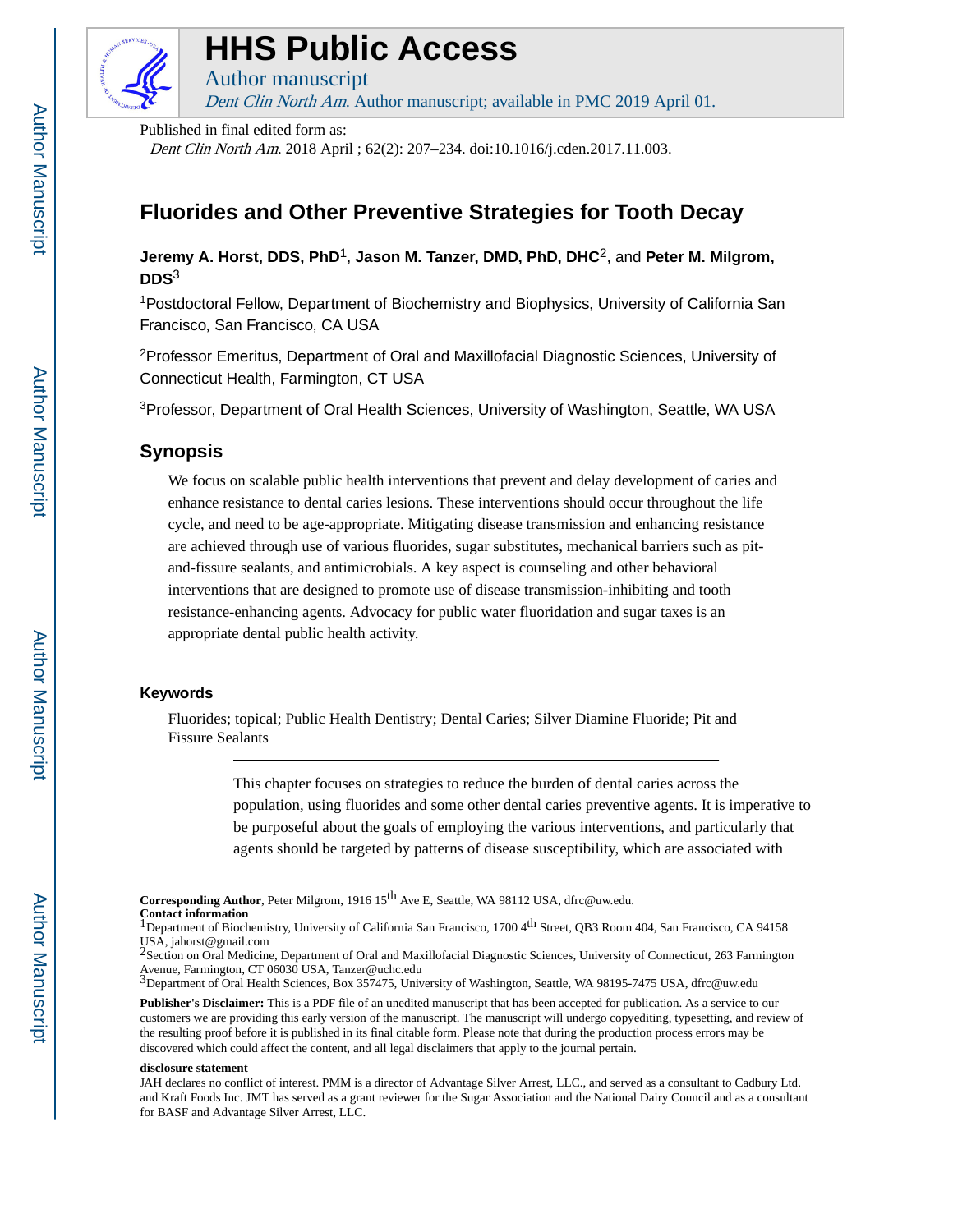

# **HHS Public Access**

Dent Clin North Am. Author manuscript; available in PMC 2019 April 01.

Published in final edited form as:

Author manuscript

Dent Clin North Am. 2018 April ; 62(2): 207–234. doi:10.1016/j.cden.2017.11.003.

# **Fluorides and Other Preventive Strategies for Tooth Decay**

**Jeremy A. Horst, DDS, PhD**1, **Jason M. Tanzer, DMD, PhD, DHC**2, and **Peter M. Milgrom, DDS**<sup>3</sup>

<sup>1</sup>Postdoctoral Fellow, Department of Biochemistry and Biophysics, University of California San Francisco, San Francisco, CA USA

<sup>2</sup>Professor Emeritus, Department of Oral and Maxillofacial Diagnostic Sciences, University of Connecticut Health, Farmington, CT USA

<sup>3</sup>Professor, Department of Oral Health Sciences, University of Washington, Seattle, WA USA

# **Synopsis**

We focus on scalable public health interventions that prevent and delay development of caries and enhance resistance to dental caries lesions. These interventions should occur throughout the life cycle, and need to be age-appropriate. Mitigating disease transmission and enhancing resistance are achieved through use of various fluorides, sugar substitutes, mechanical barriers such as pitand-fissure sealants, and antimicrobials. A key aspect is counseling and other behavioral interventions that are designed to promote use of disease transmission-inhibiting and tooth resistance-enhancing agents. Advocacy for public water fluoridation and sugar taxes is an appropriate dental public health activity.

#### **Keywords**

Fluorides; topical; Public Health Dentistry; Dental Caries; Silver Diamine Fluoride; Pit and Fissure Sealants

> This chapter focuses on strategies to reduce the burden of dental caries across the population, using fluorides and some other dental caries preventive agents. It is imperative to be purposeful about the goals of employing the various interventions, and particularly that agents should be targeted by patterns of disease susceptibility, which are associated with

#### **disclosure statement**

**Corresponding Author**, Peter Milgrom, 1916 15th Ave E, Seattle, WA 98112 USA, dfrc@uw.edu.

Contact information<br><sup>1</sup>Department of Biochemistry, University of California San Francisco, 1700 4<sup>th</sup> Street, QB3 Room 404, San Francisco, CA 94158 USA, jahorst@gmail.com<br><sup>2</sup>Section on Oral Medicine, Department of Oral and Maxillofacial Diagnostic Sciences, University of Connecticut, 263 Farmington

Avenue, Farmington, CT 06030 USA, Tanzer@uchc.edu<br><sup>3</sup>Department of Oral Health Sciences, Box 357475, University of Washington, Seattle, WA 98195-7475 USA, dfrc@uw.edu

**Publisher's Disclaimer:** This is a PDF file of an unedited manuscript that has been accepted for publication. As a service to our customers we are providing this early version of the manuscript. The manuscript will undergo copyediting, typesetting, and review of the resulting proof before it is published in its final citable form. Please note that during the production process errors may be discovered which could affect the content, and all legal disclaimers that apply to the journal pertain.

JAH declares no conflict of interest. PMM is a director of Advantage Silver Arrest, LLC., and served as a consultant to Cadbury Ltd. and Kraft Foods Inc. JMT has served as a grant reviewer for the Sugar Association and the National Dairy Council and as a consultant for BASF and Advantage Silver Arrest, LLC.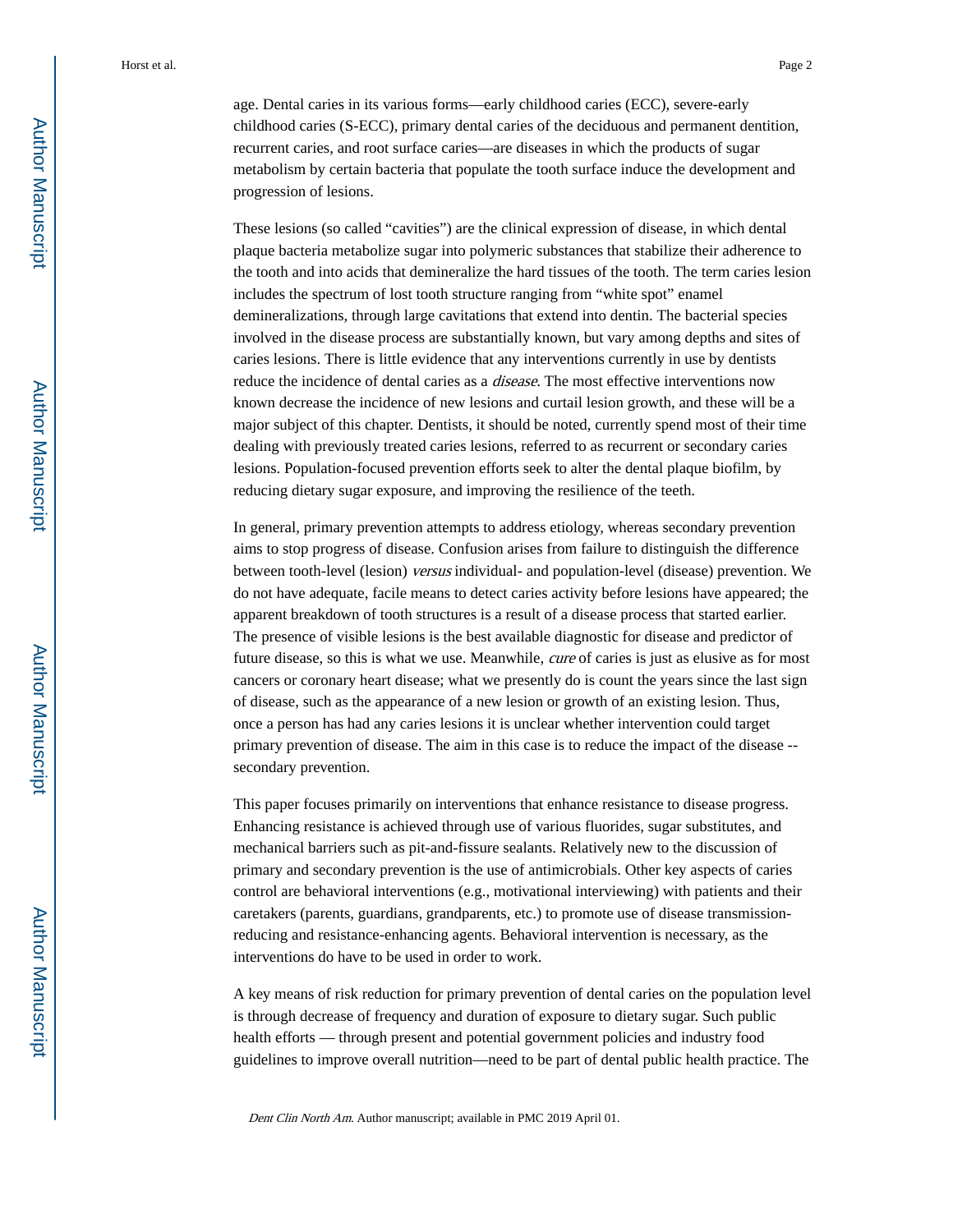age. Dental caries in its various forms—early childhood caries (ECC), severe-early childhood caries (S-ECC), primary dental caries of the deciduous and permanent dentition, recurrent caries, and root surface caries—are diseases in which the products of sugar metabolism by certain bacteria that populate the tooth surface induce the development and progression of lesions.

These lesions (so called "cavities") are the clinical expression of disease, in which dental plaque bacteria metabolize sugar into polymeric substances that stabilize their adherence to the tooth and into acids that demineralize the hard tissues of the tooth. The term caries lesion includes the spectrum of lost tooth structure ranging from "white spot" enamel demineralizations, through large cavitations that extend into dentin. The bacterial species involved in the disease process are substantially known, but vary among depths and sites of caries lesions. There is little evidence that any interventions currently in use by dentists reduce the incidence of dental caries as a *disease*. The most effective interventions now known decrease the incidence of new lesions and curtail lesion growth, and these will be a major subject of this chapter. Dentists, it should be noted, currently spend most of their time dealing with previously treated caries lesions, referred to as recurrent or secondary caries lesions. Population-focused prevention efforts seek to alter the dental plaque biofilm, by reducing dietary sugar exposure, and improving the resilience of the teeth.

In general, primary prevention attempts to address etiology, whereas secondary prevention aims to stop progress of disease. Confusion arises from failure to distinguish the difference between tooth-level (lesion) versus individual- and population-level (disease) prevention. We do not have adequate, facile means to detect caries activity before lesions have appeared; the apparent breakdown of tooth structures is a result of a disease process that started earlier. The presence of visible lesions is the best available diagnostic for disease and predictor of future disease, so this is what we use. Meanwhile, cure of caries is just as elusive as for most cancers or coronary heart disease; what we presently do is count the years since the last sign of disease, such as the appearance of a new lesion or growth of an existing lesion. Thus, once a person has had any caries lesions it is unclear whether intervention could target primary prevention of disease. The aim in this case is to reduce the impact of the disease - secondary prevention.

This paper focuses primarily on interventions that enhance resistance to disease progress. Enhancing resistance is achieved through use of various fluorides, sugar substitutes, and mechanical barriers such as pit-and-fissure sealants. Relatively new to the discussion of primary and secondary prevention is the use of antimicrobials. Other key aspects of caries control are behavioral interventions (e.g., motivational interviewing) with patients and their caretakers (parents, guardians, grandparents, etc.) to promote use of disease transmissionreducing and resistance-enhancing agents. Behavioral intervention is necessary, as the interventions do have to be used in order to work.

A key means of risk reduction for primary prevention of dental caries on the population level is through decrease of frequency and duration of exposure to dietary sugar. Such public health efforts — through present and potential government policies and industry food guidelines to improve overall nutrition—need to be part of dental public health practice. The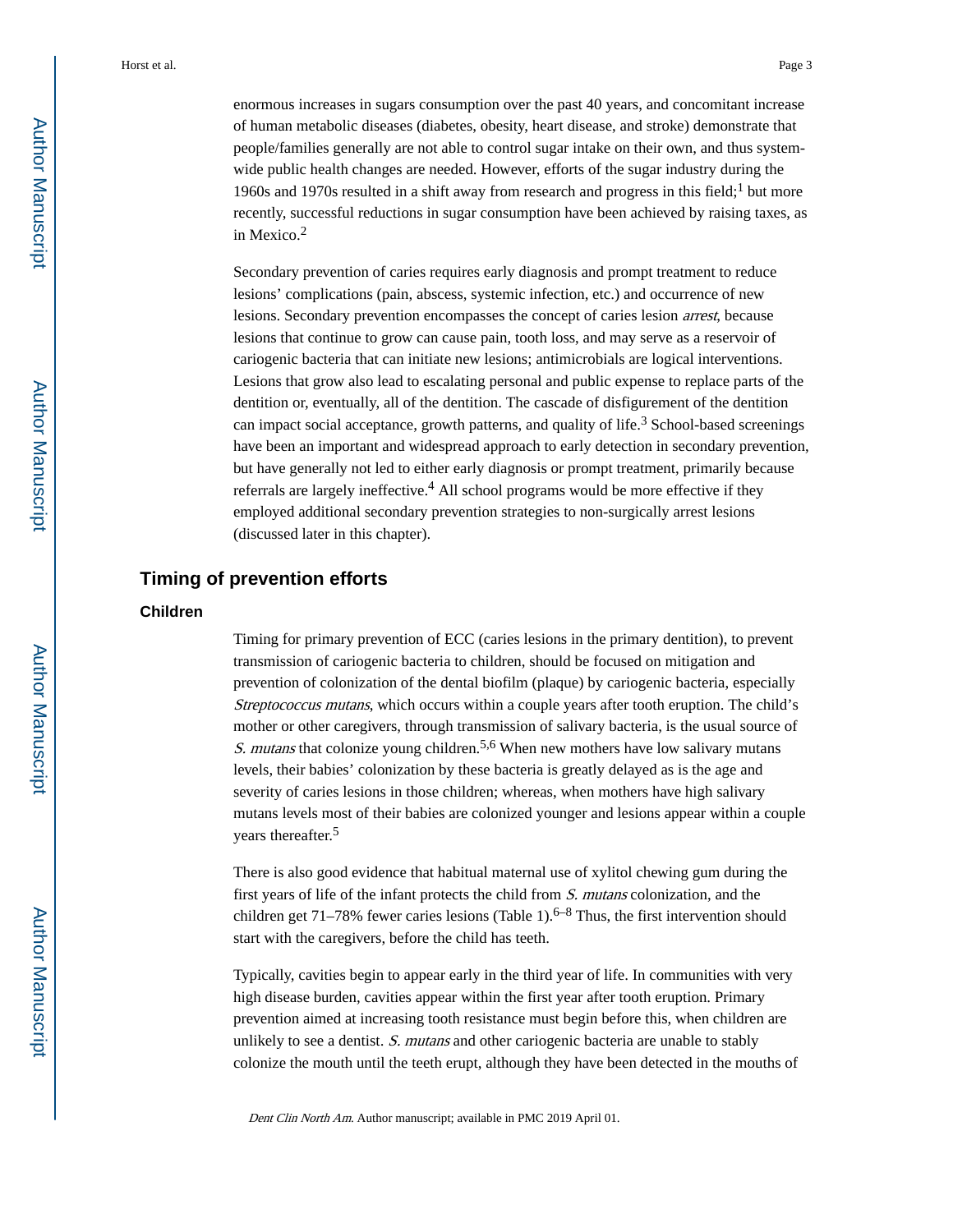enormous increases in sugars consumption over the past 40 years, and concomitant increase of human metabolic diseases (diabetes, obesity, heart disease, and stroke) demonstrate that people/families generally are not able to control sugar intake on their own, and thus systemwide public health changes are needed. However, efforts of the sugar industry during the 1960s and 1970s resulted in a shift away from research and progress in this field;<sup>1</sup> but more recently, successful reductions in sugar consumption have been achieved by raising taxes, as in Mexico.<sup>2</sup>

Secondary prevention of caries requires early diagnosis and prompt treatment to reduce lesions' complications (pain, abscess, systemic infection, etc.) and occurrence of new lesions. Secondary prevention encompasses the concept of caries lesion arrest, because lesions that continue to grow can cause pain, tooth loss, and may serve as a reservoir of cariogenic bacteria that can initiate new lesions; antimicrobials are logical interventions. Lesions that grow also lead to escalating personal and public expense to replace parts of the dentition or, eventually, all of the dentition. The cascade of disfigurement of the dentition can impact social acceptance, growth patterns, and quality of life.<sup>3</sup> School-based screenings have been an important and widespread approach to early detection in secondary prevention, but have generally not led to either early diagnosis or prompt treatment, primarily because referrals are largely ineffective.<sup>4</sup> All school programs would be more effective if they employed additional secondary prevention strategies to non-surgically arrest lesions (discussed later in this chapter).

# **Timing of prevention efforts**

#### **Children**

Timing for primary prevention of ECC (caries lesions in the primary dentition), to prevent transmission of cariogenic bacteria to children, should be focused on mitigation and prevention of colonization of the dental biofilm (plaque) by cariogenic bacteria, especially Streptococcus mutans, which occurs within a couple years after tooth eruption. The child's mother or other caregivers, through transmission of salivary bacteria, is the usual source of S. mutans that colonize young children.<sup>5,6</sup> When new mothers have low salivary mutans levels, their babies' colonization by these bacteria is greatly delayed as is the age and severity of caries lesions in those children; whereas, when mothers have high salivary mutans levels most of their babies are colonized younger and lesions appear within a couple years thereafter.<sup>5</sup>

There is also good evidence that habitual maternal use of xylitol chewing gum during the first years of life of the infant protects the child from S. mutans colonization, and the children get  $71-78\%$  fewer caries lesions (Table 1).<sup>6–8</sup> Thus, the first intervention should start with the caregivers, before the child has teeth.

Typically, cavities begin to appear early in the third year of life. In communities with very high disease burden, cavities appear within the first year after tooth eruption. Primary prevention aimed at increasing tooth resistance must begin before this, when children are unlikely to see a dentist. S. mutans and other cariogenic bacteria are unable to stably colonize the mouth until the teeth erupt, although they have been detected in the mouths of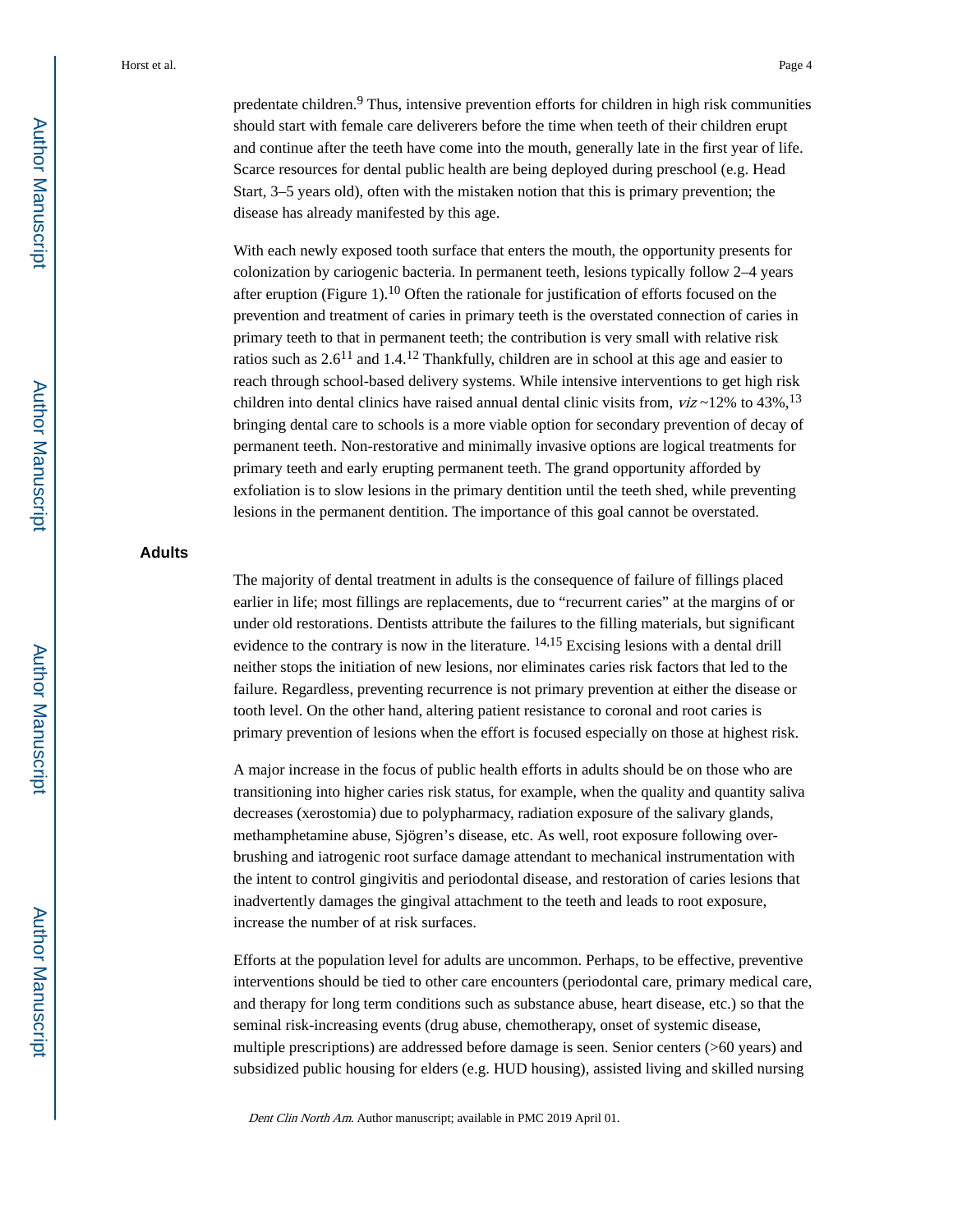predentate children.<sup>9</sup> Thus, intensive prevention efforts for children in high risk communities should start with female care deliverers before the time when teeth of their children erupt and continue after the teeth have come into the mouth, generally late in the first year of life. Scarce resources for dental public health are being deployed during preschool (e.g. Head Start, 3–5 years old), often with the mistaken notion that this is primary prevention; the disease has already manifested by this age.

With each newly exposed tooth surface that enters the mouth, the opportunity presents for colonization by cariogenic bacteria. In permanent teeth, lesions typically follow 2–4 years after eruption (Figure 1).<sup>10</sup> Often the rationale for justification of efforts focused on the prevention and treatment of caries in primary teeth is the overstated connection of caries in primary teeth to that in permanent teeth; the contribution is very small with relative risk ratios such as  $2.6^{11}$  and  $1.4^{12}$  Thankfully, children are in school at this age and easier to reach through school-based delivery systems. While intensive interventions to get high risk children into dental clinics have raised annual dental clinic visits from,  $viz \sim 12\%$  to 43%, <sup>13</sup> bringing dental care to schools is a more viable option for secondary prevention of decay of permanent teeth. Non-restorative and minimally invasive options are logical treatments for primary teeth and early erupting permanent teeth. The grand opportunity afforded by exfoliation is to slow lesions in the primary dentition until the teeth shed, while preventing lesions in the permanent dentition. The importance of this goal cannot be overstated.

# **Adults**

The majority of dental treatment in adults is the consequence of failure of fillings placed earlier in life; most fillings are replacements, due to "recurrent caries" at the margins of or under old restorations. Dentists attribute the failures to the filling materials, but significant evidence to the contrary is now in the literature. <sup>14,15</sup> Excising lesions with a dental drill neither stops the initiation of new lesions, nor eliminates caries risk factors that led to the failure. Regardless, preventing recurrence is not primary prevention at either the disease or tooth level. On the other hand, altering patient resistance to coronal and root caries is primary prevention of lesions when the effort is focused especially on those at highest risk.

A major increase in the focus of public health efforts in adults should be on those who are transitioning into higher caries risk status, for example, when the quality and quantity saliva decreases (xerostomia) due to polypharmacy, radiation exposure of the salivary glands, methamphetamine abuse, Sjögren's disease, etc. As well, root exposure following overbrushing and iatrogenic root surface damage attendant to mechanical instrumentation with the intent to control gingivitis and periodontal disease, and restoration of caries lesions that inadvertently damages the gingival attachment to the teeth and leads to root exposure, increase the number of at risk surfaces.

Efforts at the population level for adults are uncommon. Perhaps, to be effective, preventive interventions should be tied to other care encounters (periodontal care, primary medical care, and therapy for long term conditions such as substance abuse, heart disease, etc.) so that the seminal risk-increasing events (drug abuse, chemotherapy, onset of systemic disease, multiple prescriptions) are addressed before damage is seen. Senior centers (>60 years) and subsidized public housing for elders (e.g. HUD housing), assisted living and skilled nursing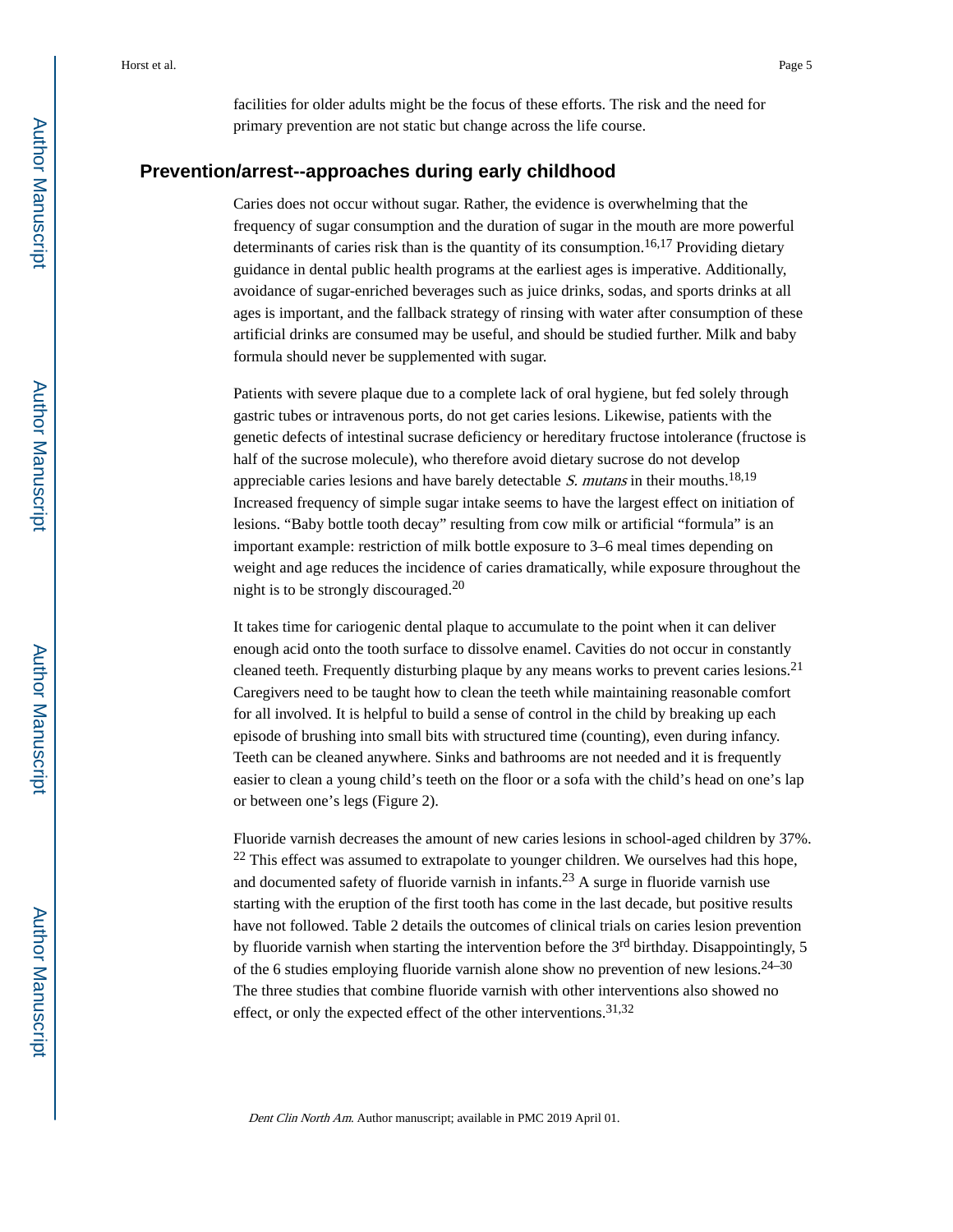facilities for older adults might be the focus of these efforts. The risk and the need for primary prevention are not static but change across the life course.

# **Prevention/arrest--approaches during early childhood**

Caries does not occur without sugar. Rather, the evidence is overwhelming that the frequency of sugar consumption and the duration of sugar in the mouth are more powerful determinants of caries risk than is the quantity of its consumption.<sup>16,17</sup> Providing dietary guidance in dental public health programs at the earliest ages is imperative. Additionally, avoidance of sugar-enriched beverages such as juice drinks, sodas, and sports drinks at all ages is important, and the fallback strategy of rinsing with water after consumption of these artificial drinks are consumed may be useful, and should be studied further. Milk and baby formula should never be supplemented with sugar.

Patients with severe plaque due to a complete lack of oral hygiene, but fed solely through gastric tubes or intravenous ports, do not get caries lesions. Likewise, patients with the genetic defects of intestinal sucrase deficiency or hereditary fructose intolerance (fructose is half of the sucrose molecule), who therefore avoid dietary sucrose do not develop appreciable caries lesions and have barely detectable  $S$ . mutans in their mouths.<sup>18,19</sup> Increased frequency of simple sugar intake seems to have the largest effect on initiation of lesions. "Baby bottle tooth decay" resulting from cow milk or artificial "formula" is an important example: restriction of milk bottle exposure to 3–6 meal times depending on weight and age reduces the incidence of caries dramatically, while exposure throughout the night is to be strongly discouraged.<sup>20</sup>

It takes time for cariogenic dental plaque to accumulate to the point when it can deliver enough acid onto the tooth surface to dissolve enamel. Cavities do not occur in constantly cleaned teeth. Frequently disturbing plaque by any means works to prevent caries lesions.<sup>21</sup> Caregivers need to be taught how to clean the teeth while maintaining reasonable comfort for all involved. It is helpful to build a sense of control in the child by breaking up each episode of brushing into small bits with structured time (counting), even during infancy. Teeth can be cleaned anywhere. Sinks and bathrooms are not needed and it is frequently easier to clean a young child's teeth on the floor or a sofa with the child's head on one's lap or between one's legs (Figure 2).

Fluoride varnish decreases the amount of new caries lesions in school-aged children by 37%.  $22$  This effect was assumed to extrapolate to younger children. We ourselves had this hope, and documented safety of fluoride varnish in infants.<sup>23</sup> A surge in fluoride varnish use starting with the eruption of the first tooth has come in the last decade, but positive results have not followed. Table 2 details the outcomes of clinical trials on caries lesion prevention by fluoride varnish when starting the intervention before the 3<sup>rd</sup> birthday. Disappointingly, 5 of the 6 studies employing fluoride varnish alone show no prevention of new lesions.<sup>24–30</sup> The three studies that combine fluoride varnish with other interventions also showed no effect, or only the expected effect of the other interventions.<sup>31,32</sup>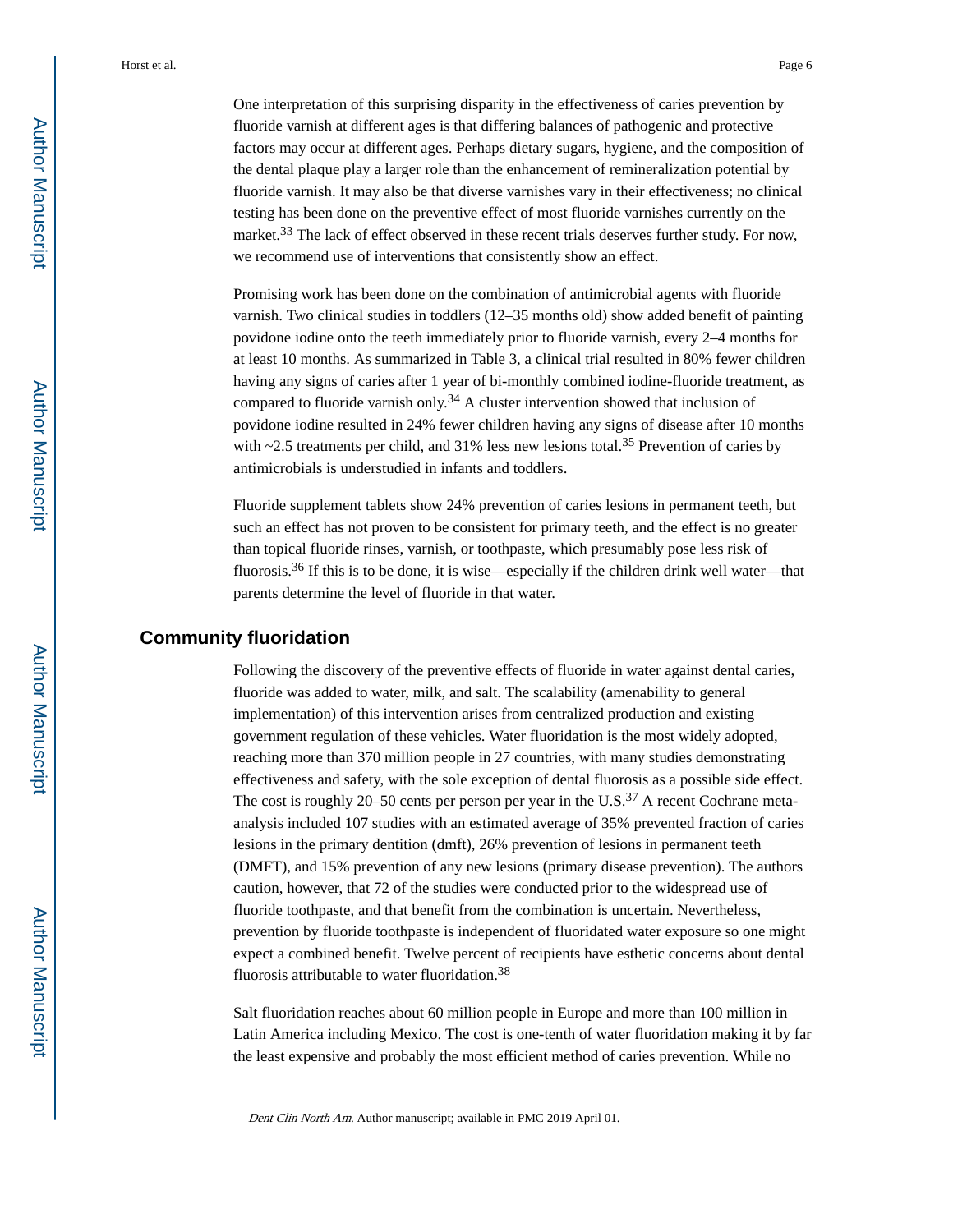One interpretation of this surprising disparity in the effectiveness of caries prevention by fluoride varnish at different ages is that differing balances of pathogenic and protective factors may occur at different ages. Perhaps dietary sugars, hygiene, and the composition of the dental plaque play a larger role than the enhancement of remineralization potential by fluoride varnish. It may also be that diverse varnishes vary in their effectiveness; no clinical testing has been done on the preventive effect of most fluoride varnishes currently on the market.<sup>33</sup> The lack of effect observed in these recent trials deserves further study. For now, we recommend use of interventions that consistently show an effect.

Promising work has been done on the combination of antimicrobial agents with fluoride varnish. Two clinical studies in toddlers (12–35 months old) show added benefit of painting povidone iodine onto the teeth immediately prior to fluoride varnish, every 2–4 months for at least 10 months. As summarized in Table 3, a clinical trial resulted in 80% fewer children having any signs of caries after 1 year of bi-monthly combined iodine-fluoride treatment, as compared to fluoride varnish only.<sup>34</sup> A cluster intervention showed that inclusion of povidone iodine resulted in 24% fewer children having any signs of disease after 10 months with  $\sim$  2.5 treatments per child, and 31% less new lesions total.<sup>35</sup> Prevention of caries by antimicrobials is understudied in infants and toddlers.

Fluoride supplement tablets show 24% prevention of caries lesions in permanent teeth, but such an effect has not proven to be consistent for primary teeth, and the effect is no greater than topical fluoride rinses, varnish, or toothpaste, which presumably pose less risk of fluorosis.36 If this is to be done, it is wise—especially if the children drink well water—that parents determine the level of fluoride in that water.

# **Community fluoridation**

Following the discovery of the preventive effects of fluoride in water against dental caries, fluoride was added to water, milk, and salt. The scalability (amenability to general implementation) of this intervention arises from centralized production and existing government regulation of these vehicles. Water fluoridation is the most widely adopted, reaching more than 370 million people in 27 countries, with many studies demonstrating effectiveness and safety, with the sole exception of dental fluorosis as a possible side effect. The cost is roughly 20–50 cents per person per year in the U.S.<sup>37</sup> A recent Cochrane metaanalysis included 107 studies with an estimated average of 35% prevented fraction of caries lesions in the primary dentition (dmft), 26% prevention of lesions in permanent teeth (DMFT), and 15% prevention of any new lesions (primary disease prevention). The authors caution, however, that 72 of the studies were conducted prior to the widespread use of fluoride toothpaste, and that benefit from the combination is uncertain. Nevertheless, prevention by fluoride toothpaste is independent of fluoridated water exposure so one might expect a combined benefit. Twelve percent of recipients have esthetic concerns about dental fluorosis attributable to water fluoridation.<sup>38</sup>

Salt fluoridation reaches about 60 million people in Europe and more than 100 million in Latin America including Mexico. The cost is one-tenth of water fluoridation making it by far the least expensive and probably the most efficient method of caries prevention. While no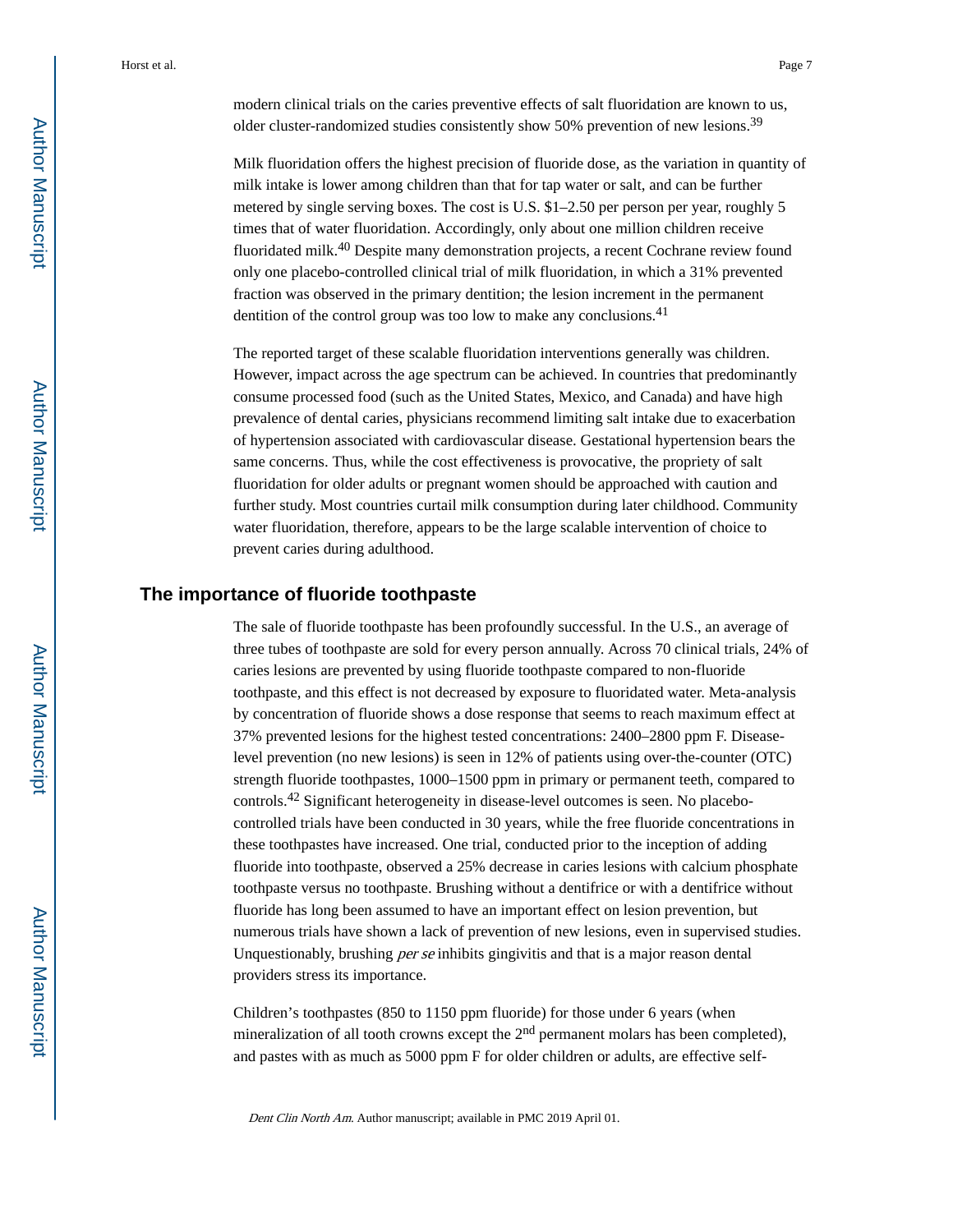modern clinical trials on the caries preventive effects of salt fluoridation are known to us, older cluster-randomized studies consistently show 50% prevention of new lesions.<sup>39</sup>

Milk fluoridation offers the highest precision of fluoride dose, as the variation in quantity of milk intake is lower among children than that for tap water or salt, and can be further metered by single serving boxes. The cost is U.S. \$1–2.50 per person per year, roughly 5 times that of water fluoridation. Accordingly, only about one million children receive fluoridated milk.40 Despite many demonstration projects, a recent Cochrane review found only one placebo-controlled clinical trial of milk fluoridation, in which a 31% prevented fraction was observed in the primary dentition; the lesion increment in the permanent dentition of the control group was too low to make any conclusions.<sup>41</sup>

The reported target of these scalable fluoridation interventions generally was children. However, impact across the age spectrum can be achieved. In countries that predominantly consume processed food (such as the United States, Mexico, and Canada) and have high prevalence of dental caries, physicians recommend limiting salt intake due to exacerbation of hypertension associated with cardiovascular disease. Gestational hypertension bears the same concerns. Thus, while the cost effectiveness is provocative, the propriety of salt fluoridation for older adults or pregnant women should be approached with caution and further study. Most countries curtail milk consumption during later childhood. Community water fluoridation, therefore, appears to be the large scalable intervention of choice to prevent caries during adulthood.

#### **The importance of fluoride toothpaste**

The sale of fluoride toothpaste has been profoundly successful. In the U.S., an average of three tubes of toothpaste are sold for every person annually. Across 70 clinical trials, 24% of caries lesions are prevented by using fluoride toothpaste compared to non-fluoride toothpaste, and this effect is not decreased by exposure to fluoridated water. Meta-analysis by concentration of fluoride shows a dose response that seems to reach maximum effect at 37% prevented lesions for the highest tested concentrations: 2400–2800 ppm F. Diseaselevel prevention (no new lesions) is seen in 12% of patients using over-the-counter (OTC) strength fluoride toothpastes, 1000–1500 ppm in primary or permanent teeth, compared to controls.42 Significant heterogeneity in disease-level outcomes is seen. No placebocontrolled trials have been conducted in 30 years, while the free fluoride concentrations in these toothpastes have increased. One trial, conducted prior to the inception of adding fluoride into toothpaste, observed a 25% decrease in caries lesions with calcium phosphate toothpaste versus no toothpaste. Brushing without a dentifrice or with a dentifrice without fluoride has long been assumed to have an important effect on lesion prevention, but numerous trials have shown a lack of prevention of new lesions, even in supervised studies. Unquestionably, brushing per se inhibits gingivitis and that is a major reason dental providers stress its importance.

Children's toothpastes (850 to 1150 ppm fluoride) for those under 6 years (when mineralization of all tooth crowns except the  $2<sup>nd</sup>$  permanent molars has been completed), and pastes with as much as 5000 ppm F for older children or adults, are effective self-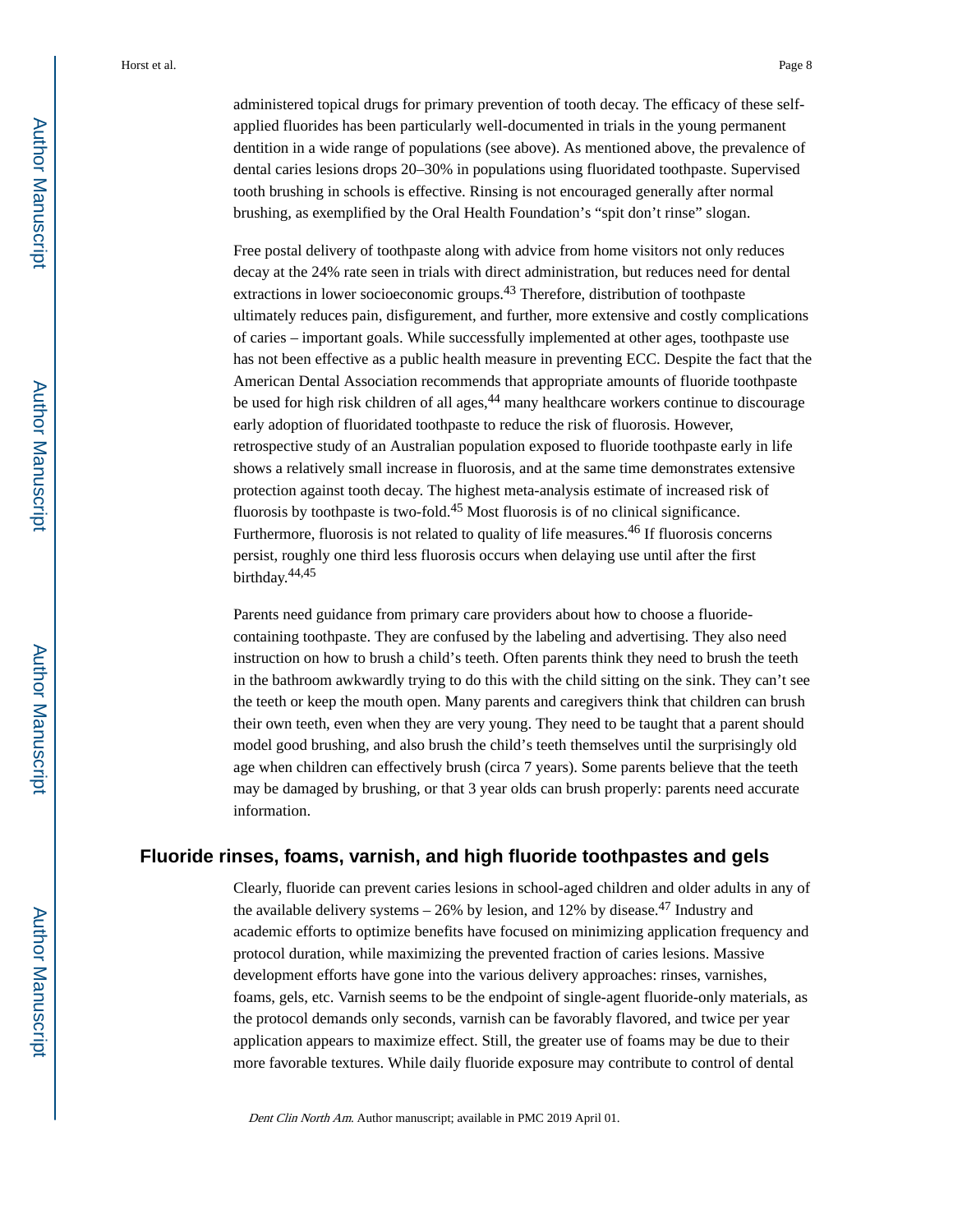administered topical drugs for primary prevention of tooth decay. The efficacy of these selfapplied fluorides has been particularly well-documented in trials in the young permanent dentition in a wide range of populations (see above). As mentioned above, the prevalence of dental caries lesions drops 20–30% in populations using fluoridated toothpaste. Supervised tooth brushing in schools is effective. Rinsing is not encouraged generally after normal brushing, as exemplified by the Oral Health Foundation's "spit don't rinse" slogan.

Free postal delivery of toothpaste along with advice from home visitors not only reduces decay at the 24% rate seen in trials with direct administration, but reduces need for dental extractions in lower socioeconomic groups.<sup>43</sup> Therefore, distribution of toothpaste ultimately reduces pain, disfigurement, and further, more extensive and costly complications of caries – important goals. While successfully implemented at other ages, toothpaste use has not been effective as a public health measure in preventing ECC. Despite the fact that the American Dental Association recommends that appropriate amounts of fluoride toothpaste be used for high risk children of all ages,<sup>44</sup> many healthcare workers continue to discourage early adoption of fluoridated toothpaste to reduce the risk of fluorosis. However, retrospective study of an Australian population exposed to fluoride toothpaste early in life shows a relatively small increase in fluorosis, and at the same time demonstrates extensive protection against tooth decay. The highest meta-analysis estimate of increased risk of fluorosis by toothpaste is two-fold.<sup>45</sup> Most fluorosis is of no clinical significance. Furthermore, fluorosis is not related to quality of life measures.<sup>46</sup> If fluorosis concerns persist, roughly one third less fluorosis occurs when delaying use until after the first birthday.44,45

Parents need guidance from primary care providers about how to choose a fluoridecontaining toothpaste. They are confused by the labeling and advertising. They also need instruction on how to brush a child's teeth. Often parents think they need to brush the teeth in the bathroom awkwardly trying to do this with the child sitting on the sink. They can't see the teeth or keep the mouth open. Many parents and caregivers think that children can brush their own teeth, even when they are very young. They need to be taught that a parent should model good brushing, and also brush the child's teeth themselves until the surprisingly old age when children can effectively brush (circa 7 years). Some parents believe that the teeth may be damaged by brushing, or that 3 year olds can brush properly: parents need accurate information.

# **Fluoride rinses, foams, varnish, and high fluoride toothpastes and gels**

Clearly, fluoride can prevent caries lesions in school-aged children and older adults in any of the available delivery systems  $-26\%$  by lesion, and 12% by disease.<sup>47</sup> Industry and academic efforts to optimize benefits have focused on minimizing application frequency and protocol duration, while maximizing the prevented fraction of caries lesions. Massive development efforts have gone into the various delivery approaches: rinses, varnishes, foams, gels, etc. Varnish seems to be the endpoint of single-agent fluoride-only materials, as the protocol demands only seconds, varnish can be favorably flavored, and twice per year application appears to maximize effect. Still, the greater use of foams may be due to their more favorable textures. While daily fluoride exposure may contribute to control of dental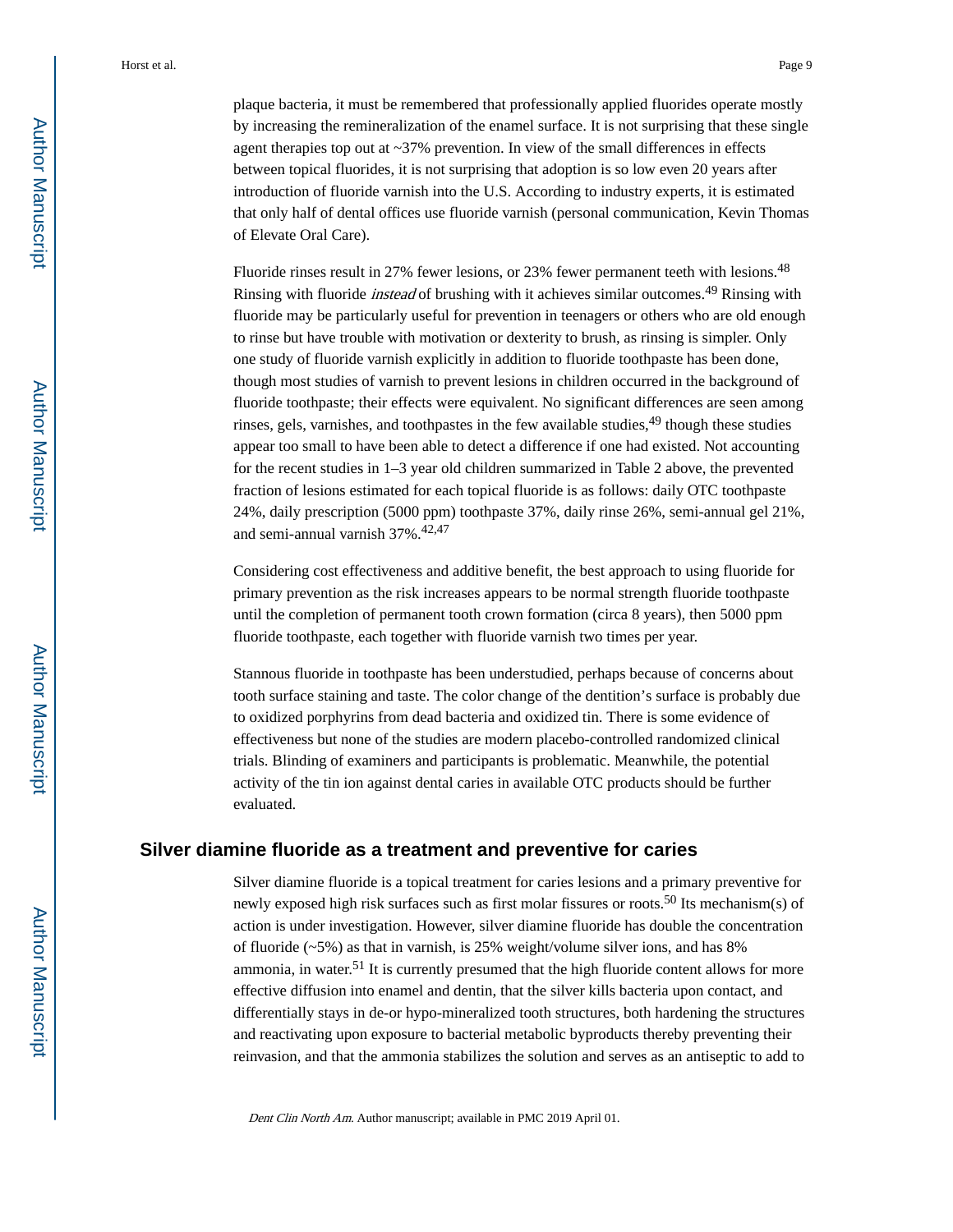plaque bacteria, it must be remembered that professionally applied fluorides operate mostly by increasing the remineralization of the enamel surface. It is not surprising that these single agent therapies top out at  $\sim$ 37% prevention. In view of the small differences in effects between topical fluorides, it is not surprising that adoption is so low even 20 years after introduction of fluoride varnish into the U.S. According to industry experts, it is estimated that only half of dental offices use fluoride varnish (personal communication, Kevin Thomas of Elevate Oral Care).

Fluoride rinses result in 27% fewer lesions, or 23% fewer permanent teeth with lesions.<sup>48</sup> Rinsing with fluoride *instead* of brushing with it achieves similar outcomes.<sup>49</sup> Rinsing with fluoride may be particularly useful for prevention in teenagers or others who are old enough to rinse but have trouble with motivation or dexterity to brush, as rinsing is simpler. Only one study of fluoride varnish explicitly in addition to fluoride toothpaste has been done, though most studies of varnish to prevent lesions in children occurred in the background of fluoride toothpaste; their effects were equivalent. No significant differences are seen among rinses, gels, varnishes, and toothpastes in the few available studies,  $49$  though these studies appear too small to have been able to detect a difference if one had existed. Not accounting for the recent studies in 1–3 year old children summarized in Table 2 above, the prevented fraction of lesions estimated for each topical fluoride is as follows: daily OTC toothpaste 24%, daily prescription (5000 ppm) toothpaste 37%, daily rinse 26%, semi-annual gel 21%, and semi-annual varnish  $37\%$ .<sup>42,47</sup>

Considering cost effectiveness and additive benefit, the best approach to using fluoride for primary prevention as the risk increases appears to be normal strength fluoride toothpaste until the completion of permanent tooth crown formation (circa 8 years), then 5000 ppm fluoride toothpaste, each together with fluoride varnish two times per year.

Stannous fluoride in toothpaste has been understudied, perhaps because of concerns about tooth surface staining and taste. The color change of the dentition's surface is probably due to oxidized porphyrins from dead bacteria and oxidized tin. There is some evidence of effectiveness but none of the studies are modern placebo-controlled randomized clinical trials. Blinding of examiners and participants is problematic. Meanwhile, the potential activity of the tin ion against dental caries in available OTC products should be further evaluated.

# **Silver diamine fluoride as a treatment and preventive for caries**

Silver diamine fluoride is a topical treatment for caries lesions and a primary preventive for newly exposed high risk surfaces such as first molar fissures or roots.<sup>50</sup> Its mechanism(s) of action is under investigation. However, silver diamine fluoride has double the concentration of fluoride  $(-5\%)$  as that in varnish, is 25% weight/volume silver ions, and has 8% ammonia, in water.<sup>51</sup> It is currently presumed that the high fluoride content allows for more effective diffusion into enamel and dentin, that the silver kills bacteria upon contact, and differentially stays in de-or hypo-mineralized tooth structures, both hardening the structures and reactivating upon exposure to bacterial metabolic byproducts thereby preventing their reinvasion, and that the ammonia stabilizes the solution and serves as an antiseptic to add to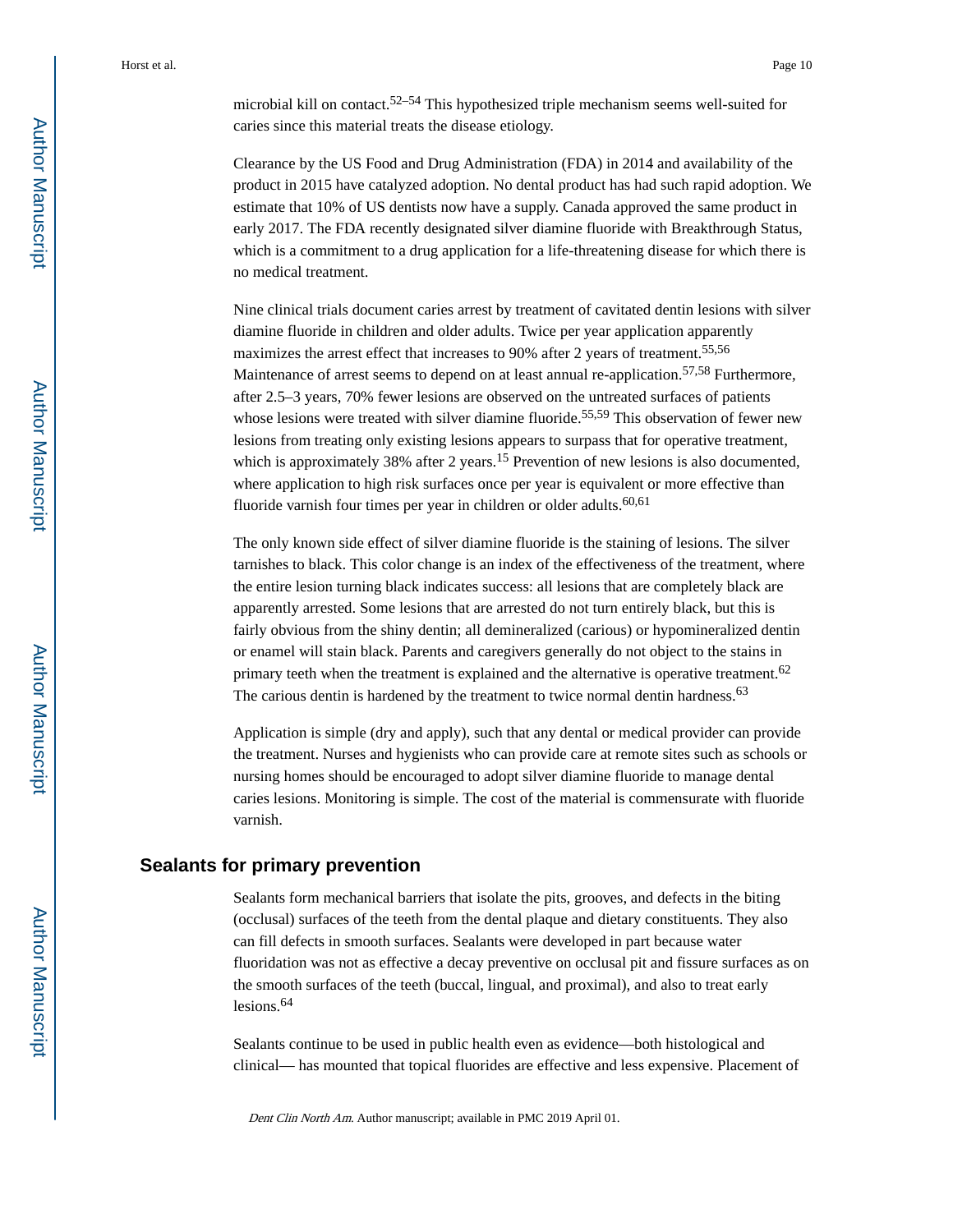microbial kill on contact.<sup>52–54</sup> This hypothesized triple mechanism seems well-suited for caries since this material treats the disease etiology.

Clearance by the US Food and Drug Administration (FDA) in 2014 and availability of the product in 2015 have catalyzed adoption. No dental product has had such rapid adoption. We estimate that 10% of US dentists now have a supply. Canada approved the same product in early 2017. The FDA recently designated silver diamine fluoride with Breakthrough Status, which is a commitment to a drug application for a life-threatening disease for which there is no medical treatment.

Nine clinical trials document caries arrest by treatment of cavitated dentin lesions with silver diamine fluoride in children and older adults. Twice per year application apparently maximizes the arrest effect that increases to 90% after 2 years of treatment.<sup>55,56</sup> Maintenance of arrest seems to depend on at least annual re-application.<sup>57,58</sup> Furthermore, after 2.5–3 years, 70% fewer lesions are observed on the untreated surfaces of patients whose lesions were treated with silver diamine fluoride.<sup>55,59</sup> This observation of fewer new lesions from treating only existing lesions appears to surpass that for operative treatment, which is approximately 38% after 2 years.<sup>15</sup> Prevention of new lesions is also documented, where application to high risk surfaces once per year is equivalent or more effective than fluoride varnish four times per year in children or older adults.<sup>60,61</sup>

The only known side effect of silver diamine fluoride is the staining of lesions. The silver tarnishes to black. This color change is an index of the effectiveness of the treatment, where the entire lesion turning black indicates success: all lesions that are completely black are apparently arrested. Some lesions that are arrested do not turn entirely black, but this is fairly obvious from the shiny dentin; all demineralized (carious) or hypomineralized dentin or enamel will stain black. Parents and caregivers generally do not object to the stains in primary teeth when the treatment is explained and the alternative is operative treatment.<sup>62</sup> The carious dentin is hardened by the treatment to twice normal dentin hardness.<sup>63</sup>

Application is simple (dry and apply), such that any dental or medical provider can provide the treatment. Nurses and hygienists who can provide care at remote sites such as schools or nursing homes should be encouraged to adopt silver diamine fluoride to manage dental caries lesions. Monitoring is simple. The cost of the material is commensurate with fluoride varnish.

## **Sealants for primary prevention**

Sealants form mechanical barriers that isolate the pits, grooves, and defects in the biting (occlusal) surfaces of the teeth from the dental plaque and dietary constituents. They also can fill defects in smooth surfaces. Sealants were developed in part because water fluoridation was not as effective a decay preventive on occlusal pit and fissure surfaces as on the smooth surfaces of the teeth (buccal, lingual, and proximal), and also to treat early lesions.<sup>64</sup>

Sealants continue to be used in public health even as evidence—both histological and clinical— has mounted that topical fluorides are effective and less expensive. Placement of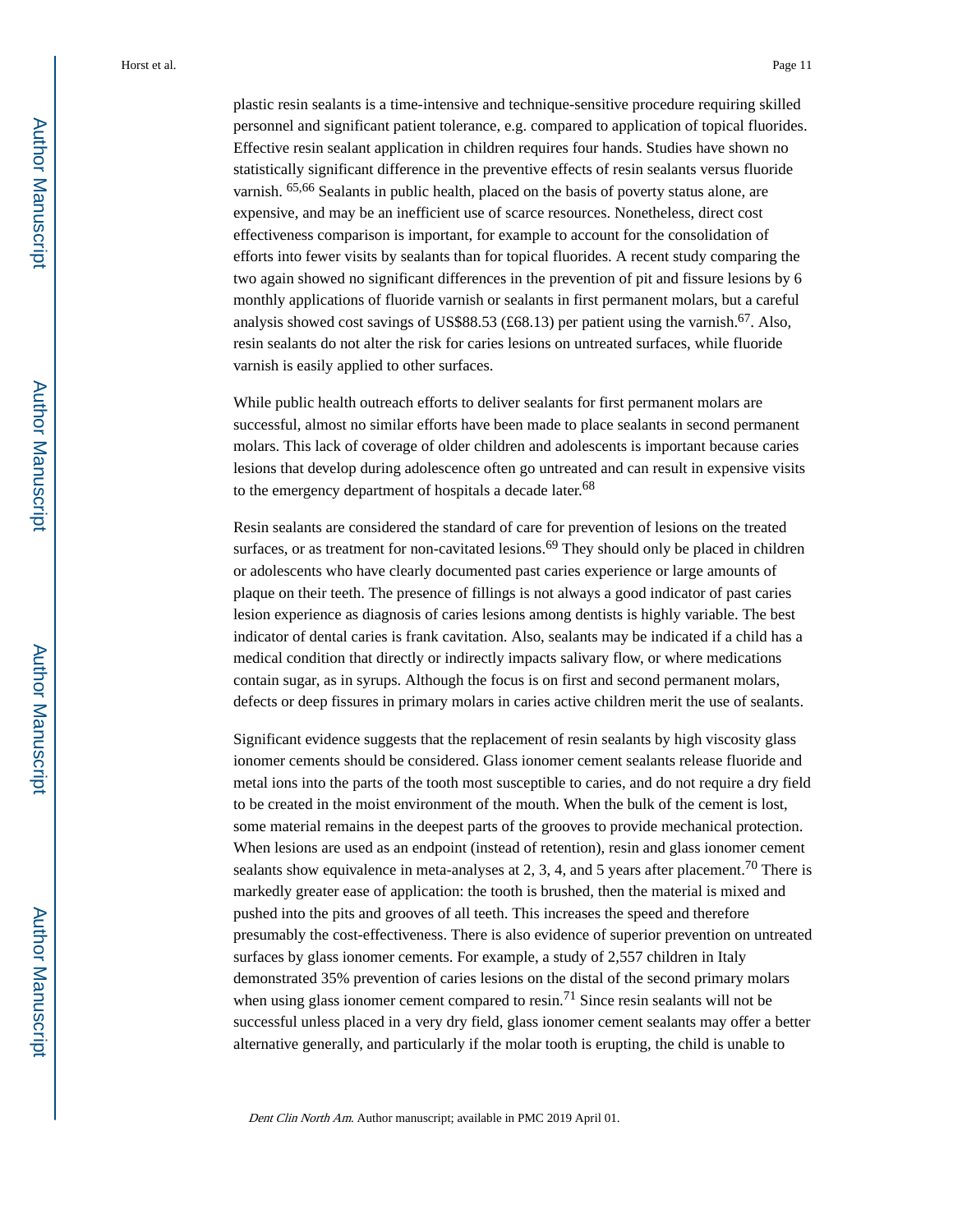plastic resin sealants is a time-intensive and technique-sensitive procedure requiring skilled personnel and significant patient tolerance, e.g. compared to application of topical fluorides. Effective resin sealant application in children requires four hands. Studies have shown no statistically significant difference in the preventive effects of resin sealants versus fluoride varnish. 65,66 Sealants in public health, placed on the basis of poverty status alone, are expensive, and may be an inefficient use of scarce resources. Nonetheless, direct cost effectiveness comparison is important, for example to account for the consolidation of efforts into fewer visits by sealants than for topical fluorides. A recent study comparing the two again showed no significant differences in the prevention of pit and fissure lesions by 6 monthly applications of fluoride varnish or sealants in first permanent molars, but a careful analysis showed cost savings of US\$88.53 (£68.13) per patient using the varnish.<sup>67</sup>. Also, resin sealants do not alter the risk for caries lesions on untreated surfaces, while fluoride varnish is easily applied to other surfaces.

While public health outreach efforts to deliver sealants for first permanent molars are successful, almost no similar efforts have been made to place sealants in second permanent molars. This lack of coverage of older children and adolescents is important because caries lesions that develop during adolescence often go untreated and can result in expensive visits to the emergency department of hospitals a decade later.<sup>68</sup>

Resin sealants are considered the standard of care for prevention of lesions on the treated surfaces, or as treatment for non-cavitated lesions.<sup>69</sup> They should only be placed in children or adolescents who have clearly documented past caries experience or large amounts of plaque on their teeth. The presence of fillings is not always a good indicator of past caries lesion experience as diagnosis of caries lesions among dentists is highly variable. The best indicator of dental caries is frank cavitation. Also, sealants may be indicated if a child has a medical condition that directly or indirectly impacts salivary flow, or where medications contain sugar, as in syrups. Although the focus is on first and second permanent molars, defects or deep fissures in primary molars in caries active children merit the use of sealants.

Significant evidence suggests that the replacement of resin sealants by high viscosity glass ionomer cements should be considered. Glass ionomer cement sealants release fluoride and metal ions into the parts of the tooth most susceptible to caries, and do not require a dry field to be created in the moist environment of the mouth. When the bulk of the cement is lost, some material remains in the deepest parts of the grooves to provide mechanical protection. When lesions are used as an endpoint (instead of retention), resin and glass ionomer cement sealants show equivalence in meta-analyses at 2, 3, 4, and 5 years after placement.<sup>70</sup> There is markedly greater ease of application: the tooth is brushed, then the material is mixed and pushed into the pits and grooves of all teeth. This increases the speed and therefore presumably the cost-effectiveness. There is also evidence of superior prevention on untreated surfaces by glass ionomer cements. For example, a study of 2,557 children in Italy demonstrated 35% prevention of caries lesions on the distal of the second primary molars when using glass ionomer cement compared to resin.<sup>71</sup> Since resin sealants will not be successful unless placed in a very dry field, glass ionomer cement sealants may offer a better alternative generally, and particularly if the molar tooth is erupting, the child is unable to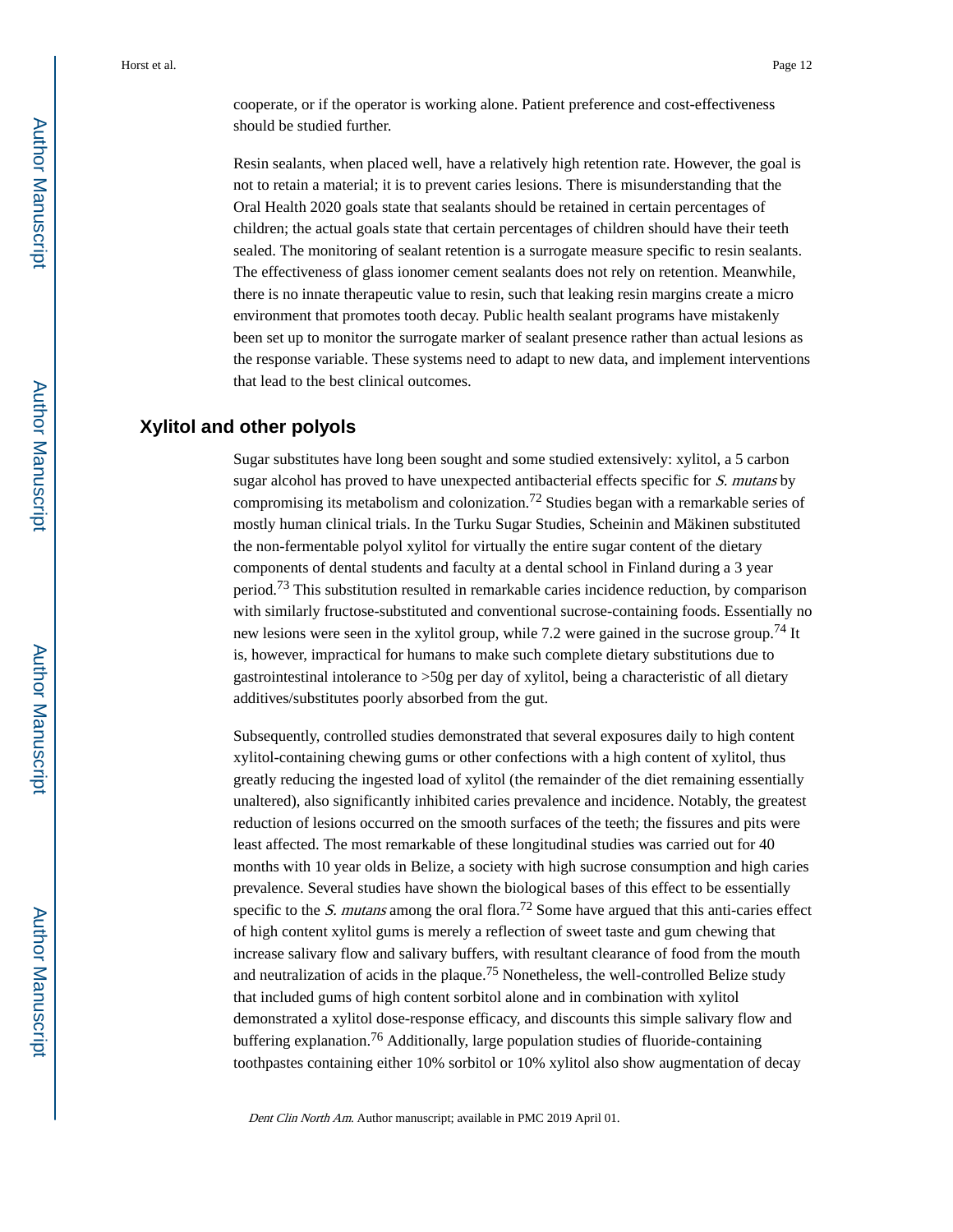cooperate, or if the operator is working alone. Patient preference and cost-effectiveness should be studied further.

Resin sealants, when placed well, have a relatively high retention rate. However, the goal is not to retain a material; it is to prevent caries lesions. There is misunderstanding that the Oral Health 2020 goals state that sealants should be retained in certain percentages of children; the actual goals state that certain percentages of children should have their teeth sealed. The monitoring of sealant retention is a surrogate measure specific to resin sealants. The effectiveness of glass ionomer cement sealants does not rely on retention. Meanwhile, there is no innate therapeutic value to resin, such that leaking resin margins create a micro environment that promotes tooth decay. Public health sealant programs have mistakenly been set up to monitor the surrogate marker of sealant presence rather than actual lesions as the response variable. These systems need to adapt to new data, and implement interventions that lead to the best clinical outcomes.

# **Xylitol and other polyols**

Sugar substitutes have long been sought and some studied extensively: xylitol, a 5 carbon sugar alcohol has proved to have unexpected antibacterial effects specific for S. mutans by compromising its metabolism and colonization.72 Studies began with a remarkable series of mostly human clinical trials. In the Turku Sugar Studies, Scheinin and Mäkinen substituted the non-fermentable polyol xylitol for virtually the entire sugar content of the dietary components of dental students and faculty at a dental school in Finland during a 3 year period.<sup>73</sup> This substitution resulted in remarkable caries incidence reduction, by comparison with similarly fructose-substituted and conventional sucrose-containing foods. Essentially no new lesions were seen in the xylitol group, while 7.2 were gained in the sucrose group.74 It is, however, impractical for humans to make such complete dietary substitutions due to gastrointestinal intolerance to >50g per day of xylitol, being a characteristic of all dietary additives/substitutes poorly absorbed from the gut.

Subsequently, controlled studies demonstrated that several exposures daily to high content xylitol-containing chewing gums or other confections with a high content of xylitol, thus greatly reducing the ingested load of xylitol (the remainder of the diet remaining essentially unaltered), also significantly inhibited caries prevalence and incidence. Notably, the greatest reduction of lesions occurred on the smooth surfaces of the teeth; the fissures and pits were least affected. The most remarkable of these longitudinal studies was carried out for 40 months with 10 year olds in Belize, a society with high sucrose consumption and high caries prevalence. Several studies have shown the biological bases of this effect to be essentially specific to the *S. mutans* among the oral flora.<sup>72</sup> Some have argued that this anti-caries effect of high content xylitol gums is merely a reflection of sweet taste and gum chewing that increase salivary flow and salivary buffers, with resultant clearance of food from the mouth and neutralization of acids in the plaque.<sup>75</sup> Nonetheless, the well-controlled Belize study that included gums of high content sorbitol alone and in combination with xylitol demonstrated a xylitol dose-response efficacy, and discounts this simple salivary flow and buffering explanation.<sup>76</sup> Additionally, large population studies of fluoride-containing toothpastes containing either 10% sorbitol or 10% xylitol also show augmentation of decay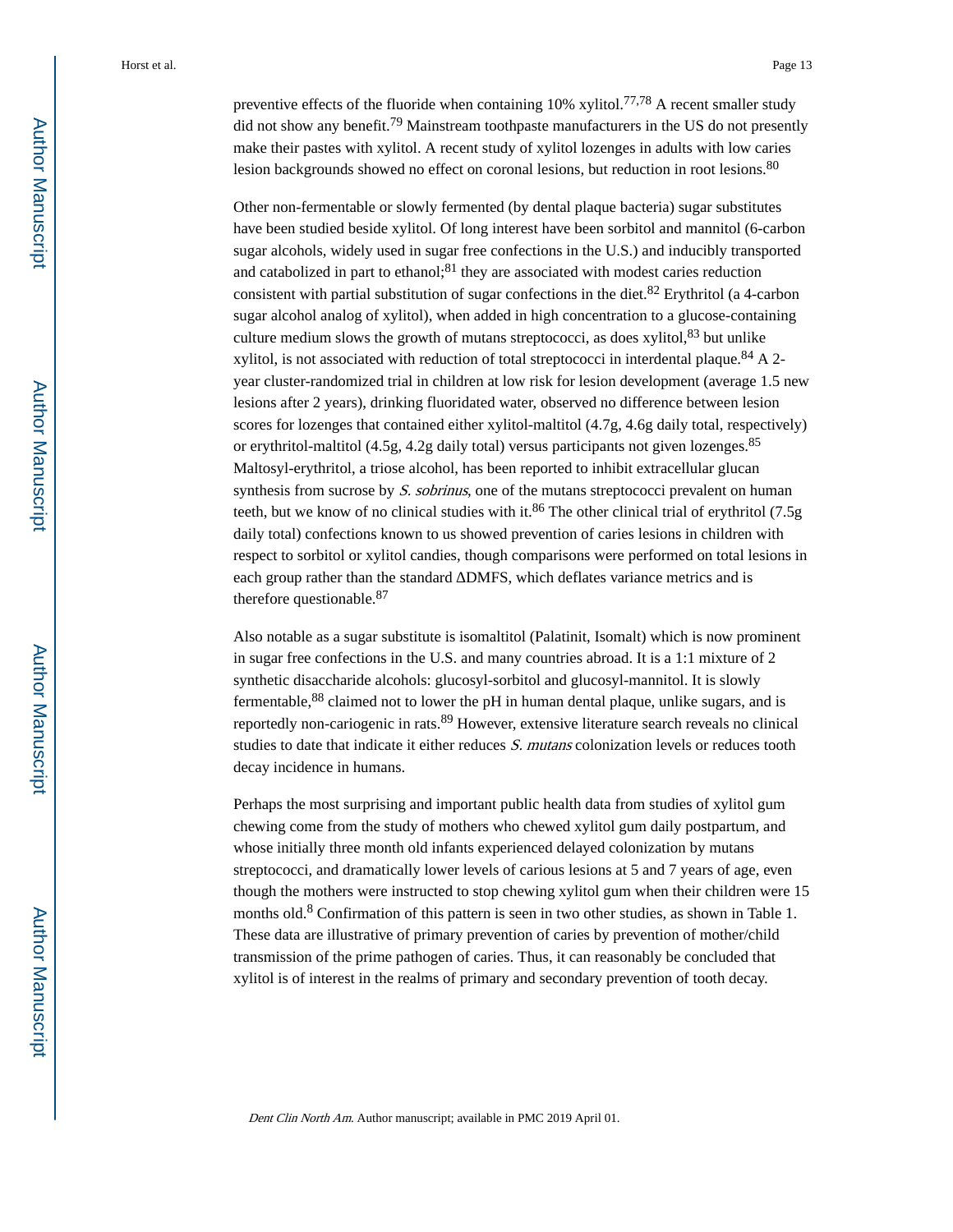preventive effects of the fluoride when containing  $10\%$  xylitol.<sup>77,78</sup> A recent smaller study did not show any benefit.<sup>79</sup> Mainstream toothpaste manufacturers in the US do not presently make their pastes with xylitol. A recent study of xylitol lozenges in adults with low caries lesion backgrounds showed no effect on coronal lesions, but reduction in root lesions.<sup>80</sup>

Other non-fermentable or slowly fermented (by dental plaque bacteria) sugar substitutes have been studied beside xylitol. Of long interest have been sorbitol and mannitol (6-carbon sugar alcohols, widely used in sugar free confections in the U.S.) and inducibly transported and catabolized in part to ethanol; ${}^{81}$  they are associated with modest caries reduction consistent with partial substitution of sugar confections in the diet. $82$  Erythritol (a 4-carbon sugar alcohol analog of xylitol), when added in high concentration to a glucose-containing culture medium slows the growth of mutans streptococci, as does xylitol, $83$  but unlike xylitol, is not associated with reduction of total streptococci in interdental plaque.<sup>84</sup> A 2year cluster-randomized trial in children at low risk for lesion development (average 1.5 new lesions after 2 years), drinking fluoridated water, observed no difference between lesion scores for lozenges that contained either xylitol-maltitol (4.7g, 4.6g daily total, respectively) or erythritol-maltitol (4.5g, 4.2g daily total) versus participants not given lozenges.<sup>85</sup> Maltosyl-erythritol, a triose alcohol, has been reported to inhibit extracellular glucan synthesis from sucrose by  $S$ . sobrinus, one of the mutans streptococci prevalent on human teeth, but we know of no clinical studies with it.<sup>86</sup> The other clinical trial of erythritol (7.5g) daily total) confections known to us showed prevention of caries lesions in children with respect to sorbitol or xylitol candies, though comparisons were performed on total lesions in each group rather than the standard DMFS, which deflates variance metrics and is therefore questionable.<sup>87</sup>

Also notable as a sugar substitute is isomaltitol (Palatinit, Isomalt) which is now prominent in sugar free confections in the U.S. and many countries abroad. It is a 1:1 mixture of 2 synthetic disaccharide alcohols: glucosyl-sorbitol and glucosyl-mannitol. It is slowly fermentable,88 claimed not to lower the pH in human dental plaque, unlike sugars, and is reportedly non-cariogenic in rats.<sup>89</sup> However, extensive literature search reveals no clinical studies to date that indicate it either reduces S. mutans colonization levels or reduces tooth decay incidence in humans.

Perhaps the most surprising and important public health data from studies of xylitol gum chewing come from the study of mothers who chewed xylitol gum daily postpartum, and whose initially three month old infants experienced delayed colonization by mutans streptococci, and dramatically lower levels of carious lesions at 5 and 7 years of age, even though the mothers were instructed to stop chewing xylitol gum when their children were 15 months old.<sup>8</sup> Confirmation of this pattern is seen in two other studies, as shown in Table 1. These data are illustrative of primary prevention of caries by prevention of mother/child transmission of the prime pathogen of caries. Thus, it can reasonably be concluded that xylitol is of interest in the realms of primary and secondary prevention of tooth decay.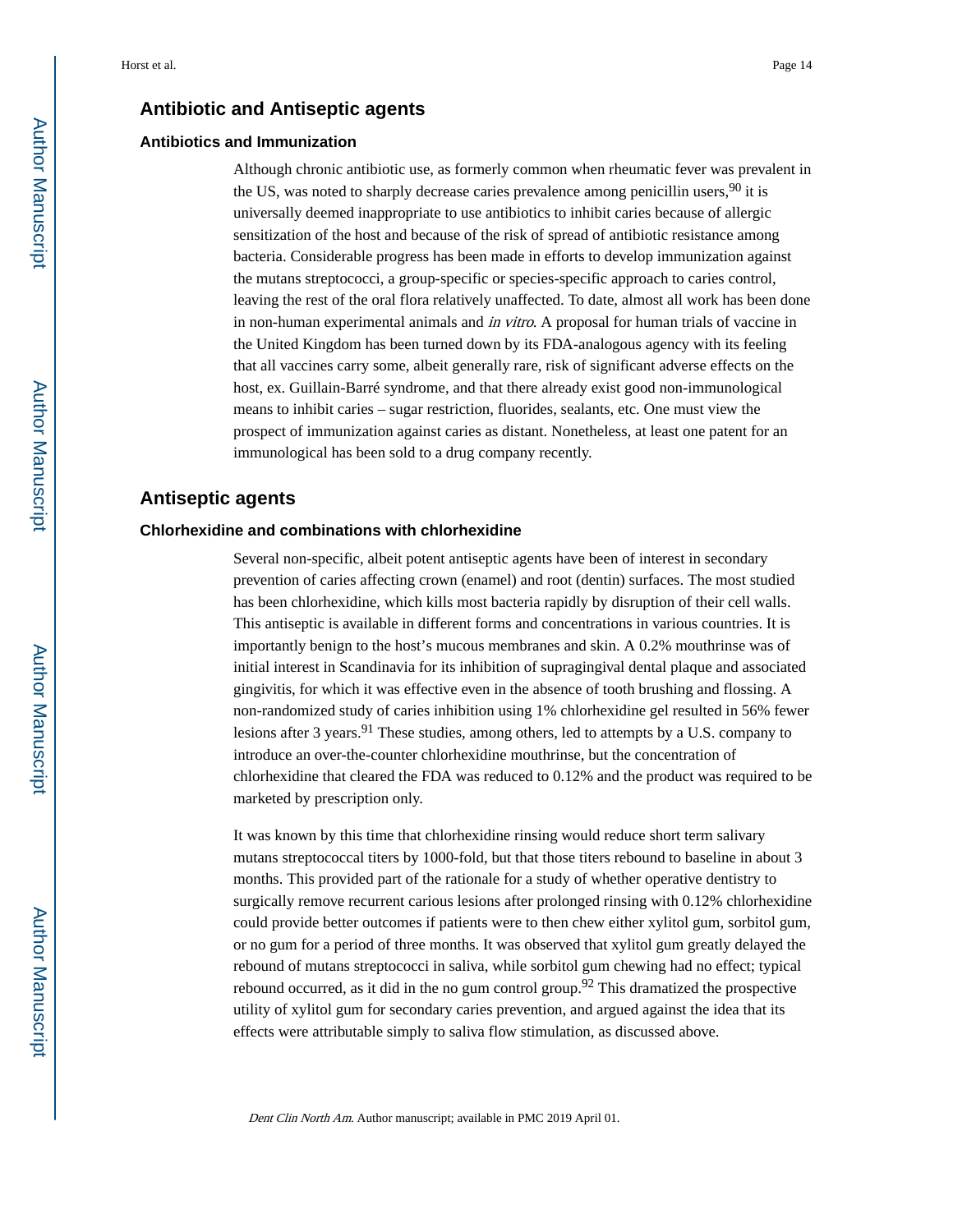#### **Antibiotic and Antiseptic agents**

#### **Antibiotics and Immunization**

Although chronic antibiotic use, as formerly common when rheumatic fever was prevalent in the US, was noted to sharply decrease caries prevalence among penicillin users,  $90$  it is universally deemed inappropriate to use antibiotics to inhibit caries because of allergic sensitization of the host and because of the risk of spread of antibiotic resistance among bacteria. Considerable progress has been made in efforts to develop immunization against the mutans streptococci, a group-specific or species-specific approach to caries control, leaving the rest of the oral flora relatively unaffected. To date, almost all work has been done in non-human experimental animals and *in vitro*. A proposal for human trials of vaccine in the United Kingdom has been turned down by its FDA-analogous agency with its feeling that all vaccines carry some, albeit generally rare, risk of significant adverse effects on the host, ex. Guillain-Barré syndrome, and that there already exist good non-immunological means to inhibit caries – sugar restriction, fluorides, sealants, etc. One must view the prospect of immunization against caries as distant. Nonetheless, at least one patent for an immunological has been sold to a drug company recently.

# **Antiseptic agents**

#### **Chlorhexidine and combinations with chlorhexidine**

Several non-specific, albeit potent antiseptic agents have been of interest in secondary prevention of caries affecting crown (enamel) and root (dentin) surfaces. The most studied has been chlorhexidine, which kills most bacteria rapidly by disruption of their cell walls. This antiseptic is available in different forms and concentrations in various countries. It is importantly benign to the host's mucous membranes and skin. A 0.2% mouthrinse was of initial interest in Scandinavia for its inhibition of supragingival dental plaque and associated gingivitis, for which it was effective even in the absence of tooth brushing and flossing. A non-randomized study of caries inhibition using 1% chlorhexidine gel resulted in 56% fewer lesions after 3 years.<sup>91</sup> These studies, among others, led to attempts by a U.S. company to introduce an over-the-counter chlorhexidine mouthrinse, but the concentration of chlorhexidine that cleared the FDA was reduced to 0.12% and the product was required to be marketed by prescription only.

It was known by this time that chlorhexidine rinsing would reduce short term salivary mutans streptococcal titers by 1000-fold, but that those titers rebound to baseline in about 3 months. This provided part of the rationale for a study of whether operative dentistry to surgically remove recurrent carious lesions after prolonged rinsing with 0.12% chlorhexidine could provide better outcomes if patients were to then chew either xylitol gum, sorbitol gum, or no gum for a period of three months. It was observed that xylitol gum greatly delayed the rebound of mutans streptococci in saliva, while sorbitol gum chewing had no effect; typical rebound occurred, as it did in the no gum control group.92 This dramatized the prospective utility of xylitol gum for secondary caries prevention, and argued against the idea that its effects were attributable simply to saliva flow stimulation, as discussed above.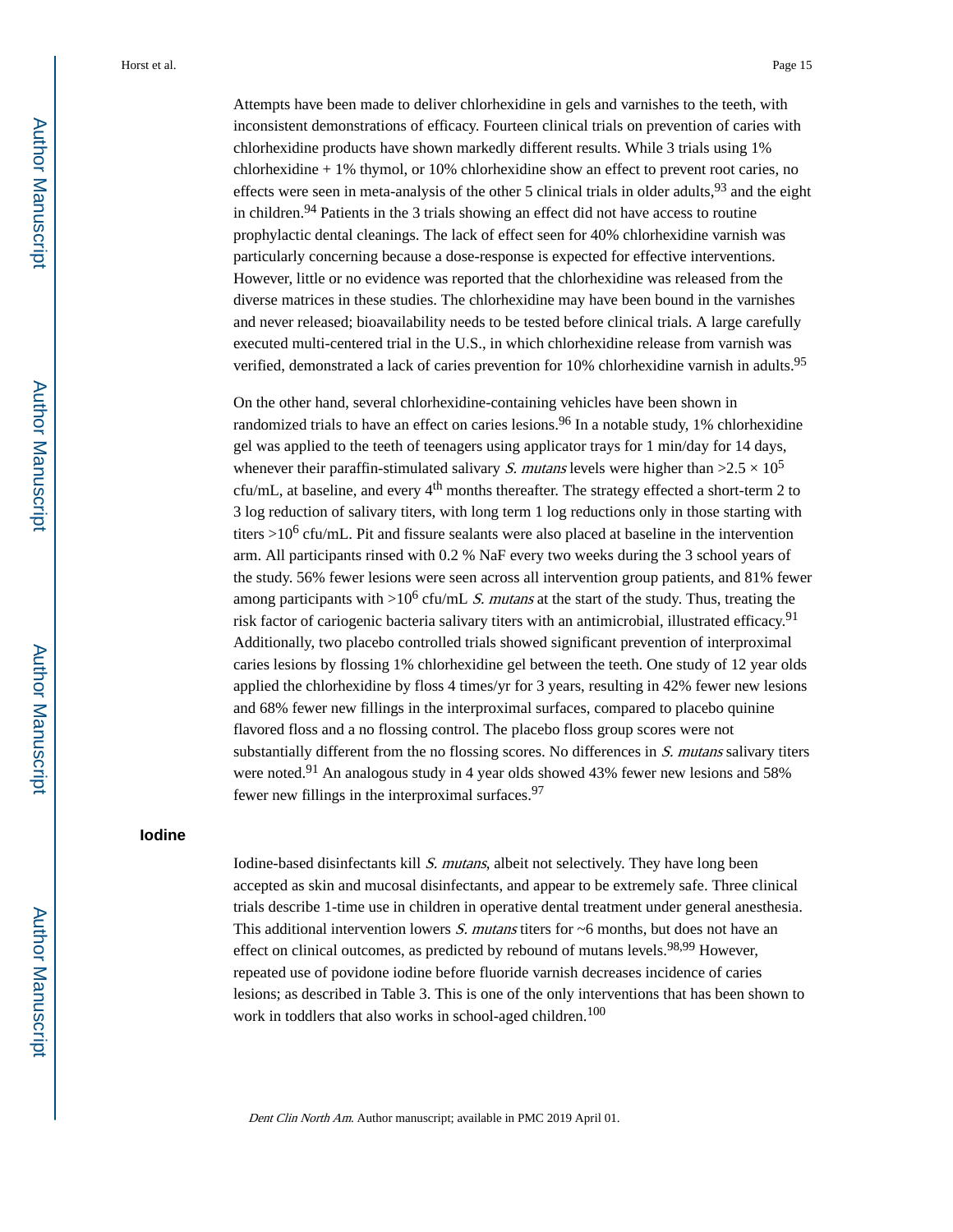Attempts have been made to deliver chlorhexidine in gels and varnishes to the teeth, with inconsistent demonstrations of efficacy. Fourteen clinical trials on prevention of caries with chlorhexidine products have shown markedly different results. While 3 trials using 1% chlorhexidine  $+1\%$  thymol, or 10% chlorhexidine show an effect to prevent root caries, no effects were seen in meta-analysis of the other 5 clinical trials in older adults, <sup>93</sup> and the eight in children.94 Patients in the 3 trials showing an effect did not have access to routine prophylactic dental cleanings. The lack of effect seen for 40% chlorhexidine varnish was particularly concerning because a dose-response is expected for effective interventions. However, little or no evidence was reported that the chlorhexidine was released from the diverse matrices in these studies. The chlorhexidine may have been bound in the varnishes and never released; bioavailability needs to be tested before clinical trials. A large carefully executed multi-centered trial in the U.S., in which chlorhexidine release from varnish was verified, demonstrated a lack of caries prevention for 10% chlorhexidine varnish in adults.<sup>95</sup>

On the other hand, several chlorhexidine-containing vehicles have been shown in randomized trials to have an effect on caries lesions.<sup>96</sup> In a notable study,  $1\%$  chlorhexidine gel was applied to the teeth of teenagers using applicator trays for 1 min/day for 14 days, whenever their paraffin-stimulated salivary S. mutans levels were higher than  $>2.5 \times 10^5$  $ctu/mL$ , at baseline, and every  $4<sup>th</sup>$  months thereafter. The strategy effected a short-term 2 to 3 log reduction of salivary titers, with long term 1 log reductions only in those starting with titers  $>10^6$  cfu/mL. Pit and fissure sealants were also placed at baseline in the intervention arm. All participants rinsed with 0.2 % NaF every two weeks during the 3 school years of the study. 56% fewer lesions were seen across all intervention group patients, and 81% fewer among participants with  $>10^6$  cfu/mL *S. mutans* at the start of the study. Thus, treating the risk factor of cariogenic bacteria salivary titers with an antimicrobial, illustrated efficacy.<sup>91</sup> Additionally, two placebo controlled trials showed significant prevention of interproximal caries lesions by flossing 1% chlorhexidine gel between the teeth. One study of 12 year olds applied the chlorhexidine by floss 4 times/yr for 3 years, resulting in 42% fewer new lesions and 68% fewer new fillings in the interproximal surfaces, compared to placebo quinine flavored floss and a no flossing control. The placebo floss group scores were not substantially different from the no flossing scores. No differences in S. mutans salivary titers were noted.<sup>91</sup> An analogous study in 4 year olds showed 43% fewer new lesions and 58% fewer new fillings in the interproximal surfaces.<sup>97</sup>

#### **Iodine**

Iodine-based disinfectants kill S. mutans, albeit not selectively. They have long been accepted as skin and mucosal disinfectants, and appear to be extremely safe. Three clinical trials describe 1-time use in children in operative dental treatment under general anesthesia. This additional intervention lowers S. mutans titers for  $\sim$  6 months, but does not have an effect on clinical outcomes, as predicted by rebound of mutans levels.<sup>98,99</sup> However, repeated use of povidone iodine before fluoride varnish decreases incidence of caries lesions; as described in Table 3. This is one of the only interventions that has been shown to work in toddlers that also works in school-aged children.<sup>100</sup>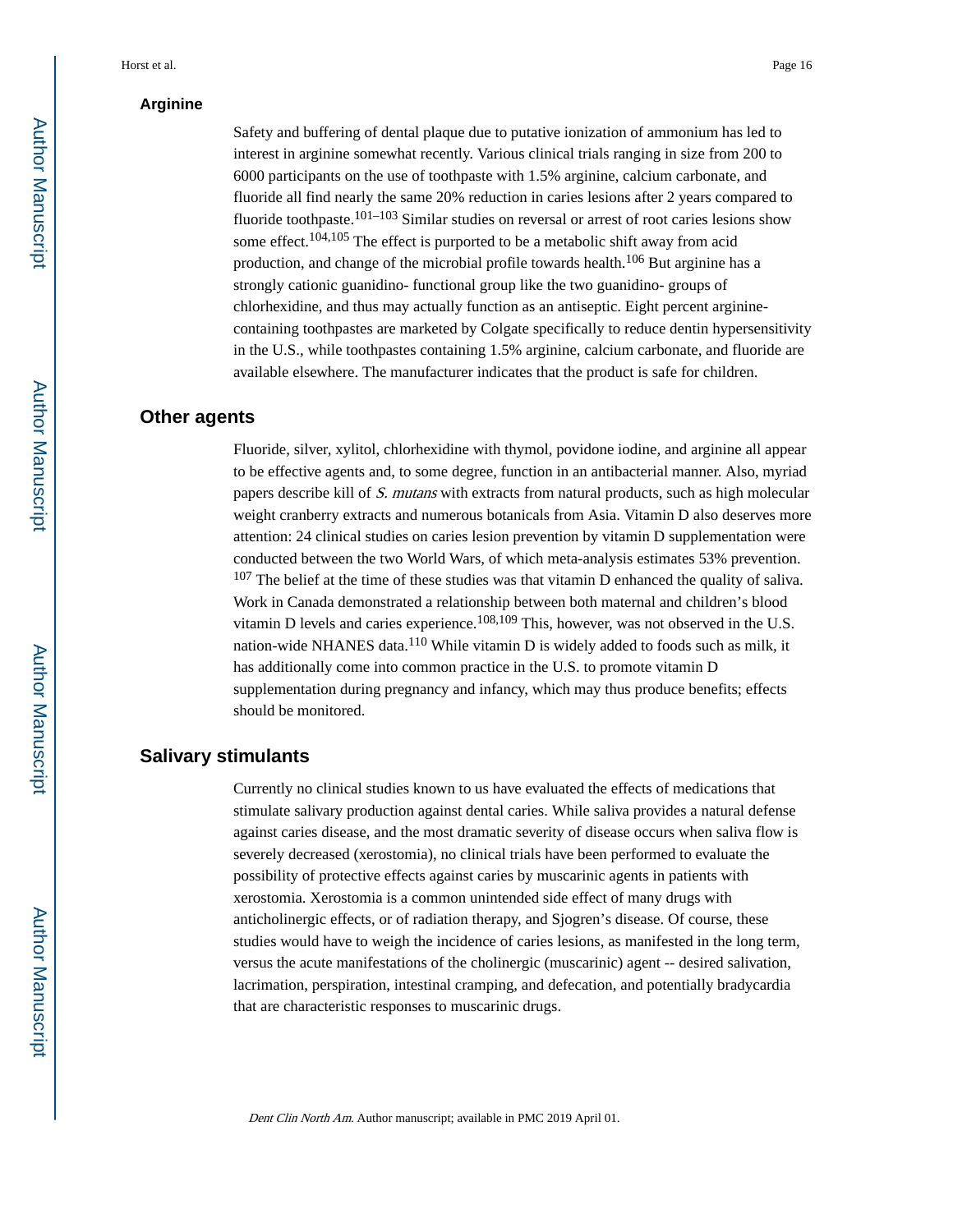# **Arginine**

Safety and buffering of dental plaque due to putative ionization of ammonium has led to interest in arginine somewhat recently. Various clinical trials ranging in size from 200 to 6000 participants on the use of toothpaste with 1.5% arginine, calcium carbonate, and fluoride all find nearly the same 20% reduction in caries lesions after 2 years compared to fluoride toothpaste.<sup>101–103</sup> Similar studies on reversal or arrest of root caries lesions show some effect.<sup>104,105</sup> The effect is purported to be a metabolic shift away from acid production, and change of the microbial profile towards health.<sup>106</sup> But arginine has a strongly cationic guanidino- functional group like the two guanidino- groups of chlorhexidine, and thus may actually function as an antiseptic. Eight percent argininecontaining toothpastes are marketed by Colgate specifically to reduce dentin hypersensitivity in the U.S., while toothpastes containing 1.5% arginine, calcium carbonate, and fluoride are available elsewhere. The manufacturer indicates that the product is safe for children.

# **Other agents**

Fluoride, silver, xylitol, chlorhexidine with thymol, povidone iodine, and arginine all appear to be effective agents and, to some degree, function in an antibacterial manner. Also, myriad papers describe kill of S. mutans with extracts from natural products, such as high molecular weight cranberry extracts and numerous botanicals from Asia. Vitamin D also deserves more attention: 24 clinical studies on caries lesion prevention by vitamin D supplementation were conducted between the two World Wars, of which meta-analysis estimates 53% prevention.  $107$  The belief at the time of these studies was that vitamin D enhanced the quality of saliva. Work in Canada demonstrated a relationship between both maternal and children's blood vitamin D levels and caries experience.<sup>108,109</sup> This, however, was not observed in the U.S. nation-wide NHANES data. $110$  While vitamin D is widely added to foods such as milk, it has additionally come into common practice in the U.S. to promote vitamin D supplementation during pregnancy and infancy, which may thus produce benefits; effects should be monitored.

# **Salivary stimulants**

Currently no clinical studies known to us have evaluated the effects of medications that stimulate salivary production against dental caries. While saliva provides a natural defense against caries disease, and the most dramatic severity of disease occurs when saliva flow is severely decreased (xerostomia), no clinical trials have been performed to evaluate the possibility of protective effects against caries by muscarinic agents in patients with xerostomia. Xerostomia is a common unintended side effect of many drugs with anticholinergic effects, or of radiation therapy, and Sjogren's disease. Of course, these studies would have to weigh the incidence of caries lesions, as manifested in the long term, versus the acute manifestations of the cholinergic (muscarinic) agent -- desired salivation, lacrimation, perspiration, intestinal cramping, and defecation, and potentially bradycardia that are characteristic responses to muscarinic drugs.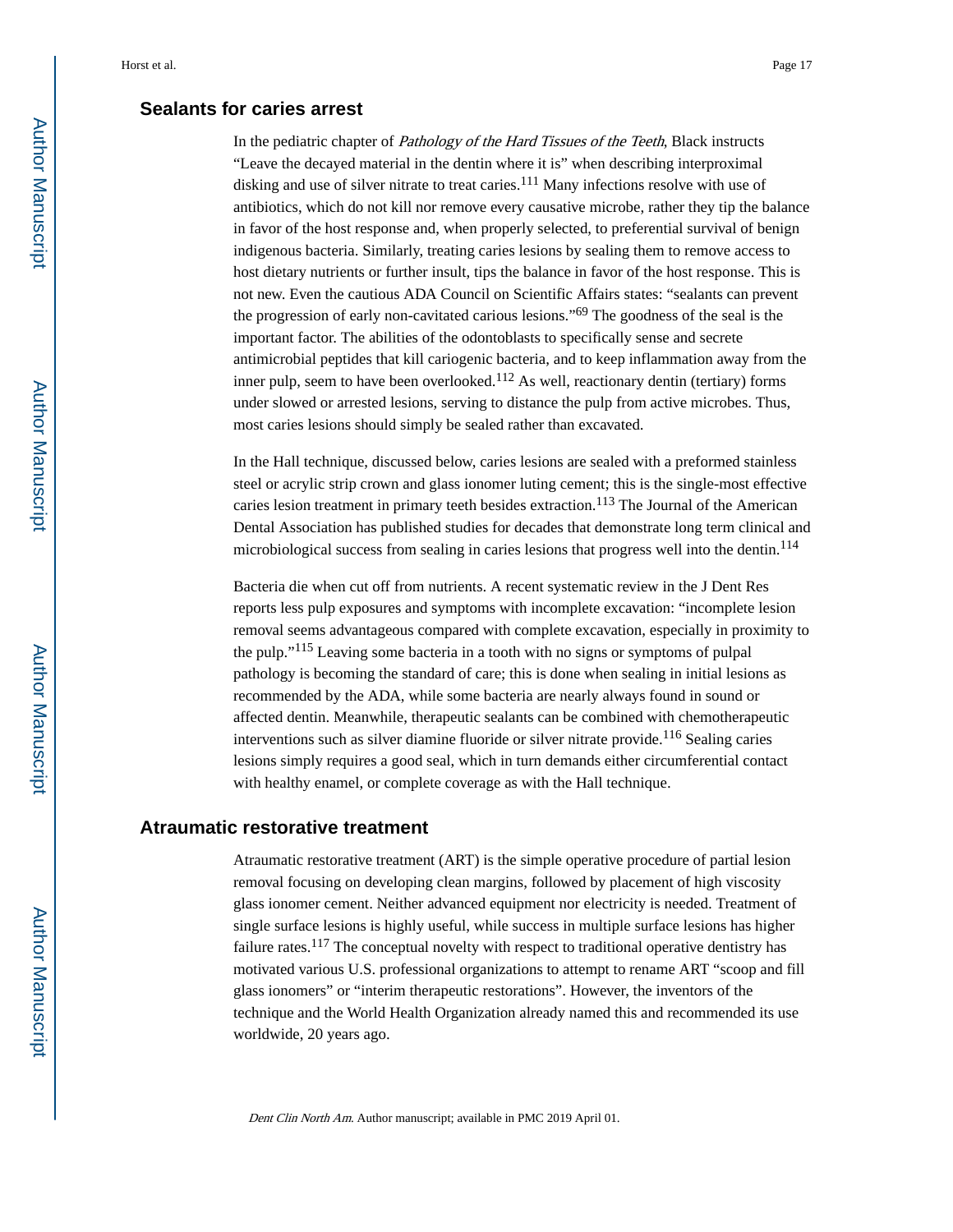In the pediatric chapter of *Pathology of the Hard Tissues of the Teeth*, Black instructs "Leave the decayed material in the dentin where it is" when describing interproximal disking and use of silver nitrate to treat caries.<sup>111</sup> Many infections resolve with use of antibiotics, which do not kill nor remove every causative microbe, rather they tip the balance in favor of the host response and, when properly selected, to preferential survival of benign indigenous bacteria. Similarly, treating caries lesions by sealing them to remove access to host dietary nutrients or further insult, tips the balance in favor of the host response. This is not new. Even the cautious ADA Council on Scientific Affairs states: "sealants can prevent the progression of early non-cavitated carious lesions."69 The goodness of the seal is the important factor. The abilities of the odontoblasts to specifically sense and secrete antimicrobial peptides that kill cariogenic bacteria, and to keep inflammation away from the inner pulp, seem to have been overlooked.<sup>112</sup> As well, reactionary dentin (tertiary) forms under slowed or arrested lesions, serving to distance the pulp from active microbes. Thus, most caries lesions should simply be sealed rather than excavated.

In the Hall technique, discussed below, caries lesions are sealed with a preformed stainless steel or acrylic strip crown and glass ionomer luting cement; this is the single-most effective caries lesion treatment in primary teeth besides extraction.<sup>113</sup> The Journal of the American Dental Association has published studies for decades that demonstrate long term clinical and microbiological success from sealing in caries lesions that progress well into the dentin.<sup>114</sup>

Bacteria die when cut off from nutrients. A recent systematic review in the J Dent Res reports less pulp exposures and symptoms with incomplete excavation: "incomplete lesion removal seems advantageous compared with complete excavation, especially in proximity to the pulp."115 Leaving some bacteria in a tooth with no signs or symptoms of pulpal pathology is becoming the standard of care; this is done when sealing in initial lesions as recommended by the ADA, while some bacteria are nearly always found in sound or affected dentin. Meanwhile, therapeutic sealants can be combined with chemotherapeutic interventions such as silver diamine fluoride or silver nitrate provide.<sup>116</sup> Sealing caries lesions simply requires a good seal, which in turn demands either circumferential contact with healthy enamel, or complete coverage as with the Hall technique.

# **Atraumatic restorative treatment**

Atraumatic restorative treatment (ART) is the simple operative procedure of partial lesion removal focusing on developing clean margins, followed by placement of high viscosity glass ionomer cement. Neither advanced equipment nor electricity is needed. Treatment of single surface lesions is highly useful, while success in multiple surface lesions has higher failure rates.<sup>117</sup> The conceptual novelty with respect to traditional operative dentistry has motivated various U.S. professional organizations to attempt to rename ART "scoop and fill glass ionomers" or "interim therapeutic restorations". However, the inventors of the technique and the World Health Organization already named this and recommended its use worldwide, 20 years ago.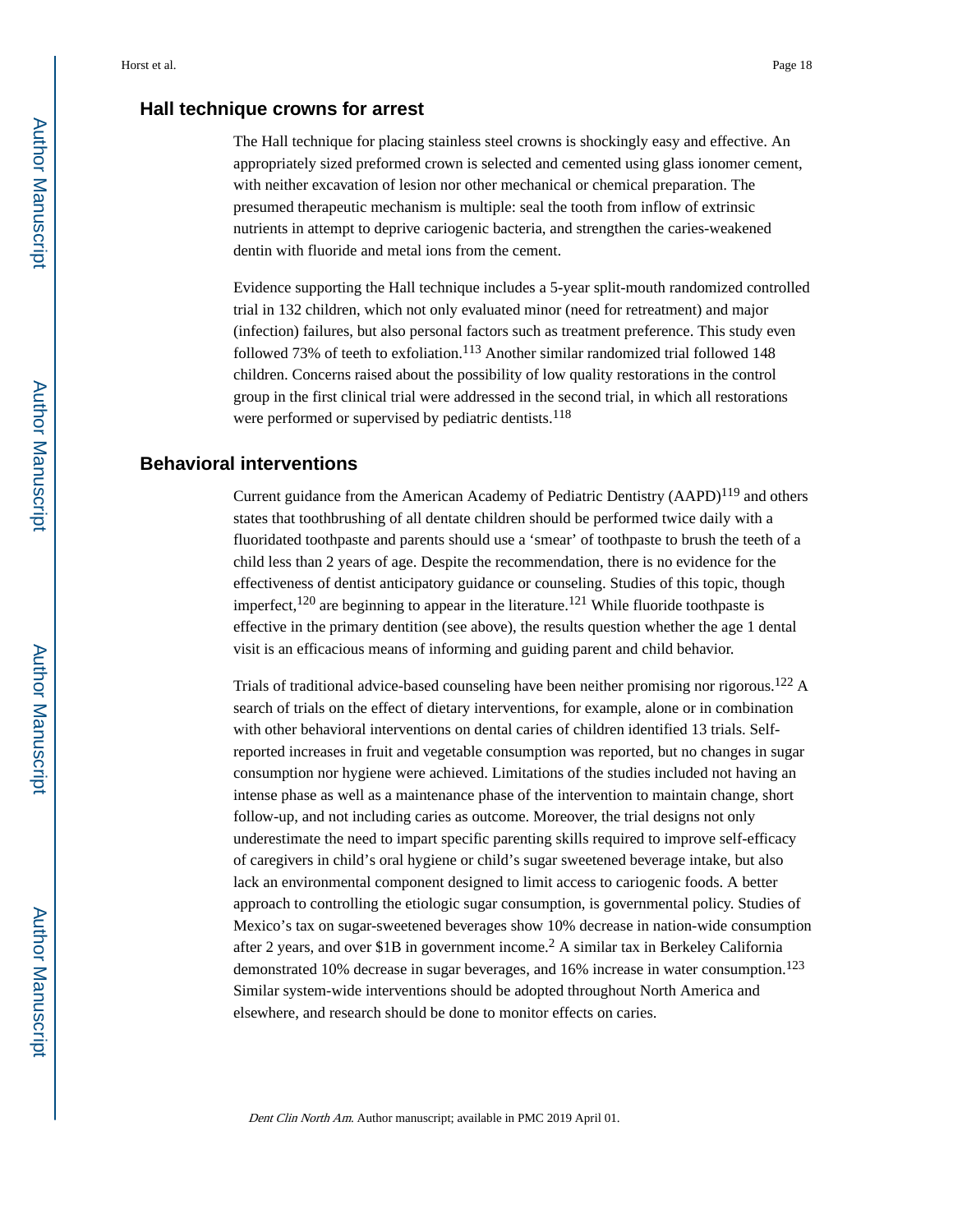# **Hall technique crowns for arrest**

The Hall technique for placing stainless steel crowns is shockingly easy and effective. An appropriately sized preformed crown is selected and cemented using glass ionomer cement, with neither excavation of lesion nor other mechanical or chemical preparation. The presumed therapeutic mechanism is multiple: seal the tooth from inflow of extrinsic nutrients in attempt to deprive cariogenic bacteria, and strengthen the caries-weakened dentin with fluoride and metal ions from the cement.

Evidence supporting the Hall technique includes a 5-year split-mouth randomized controlled trial in 132 children, which not only evaluated minor (need for retreatment) and major (infection) failures, but also personal factors such as treatment preference. This study even followed 73% of teeth to exfoliation.<sup>113</sup> Another similar randomized trial followed 148 children. Concerns raised about the possibility of low quality restorations in the control group in the first clinical trial were addressed in the second trial, in which all restorations were performed or supervised by pediatric dentists.<sup>118</sup>

# **Behavioral interventions**

Current guidance from the American Academy of Pediatric Dentistry (AAPD)<sup>119</sup> and others states that toothbrushing of all dentate children should be performed twice daily with a fluoridated toothpaste and parents should use a 'smear' of toothpaste to brush the teeth of a child less than 2 years of age. Despite the recommendation, there is no evidence for the effectiveness of dentist anticipatory guidance or counseling. Studies of this topic, though imperfect,<sup>120</sup> are beginning to appear in the literature.<sup>121</sup> While fluoride toothpaste is effective in the primary dentition (see above), the results question whether the age 1 dental visit is an efficacious means of informing and guiding parent and child behavior.

Trials of traditional advice-based counseling have been neither promising nor rigorous.122 A search of trials on the effect of dietary interventions, for example, alone or in combination with other behavioral interventions on dental caries of children identified 13 trials. Selfreported increases in fruit and vegetable consumption was reported, but no changes in sugar consumption nor hygiene were achieved. Limitations of the studies included not having an intense phase as well as a maintenance phase of the intervention to maintain change, short follow-up, and not including caries as outcome. Moreover, the trial designs not only underestimate the need to impart specific parenting skills required to improve self-efficacy of caregivers in child's oral hygiene or child's sugar sweetened beverage intake, but also lack an environmental component designed to limit access to cariogenic foods. A better approach to controlling the etiologic sugar consumption, is governmental policy. Studies of Mexico's tax on sugar-sweetened beverages show 10% decrease in nation-wide consumption after 2 years, and over \$1B in government income.<sup>2</sup> A similar tax in Berkeley California demonstrated 10% decrease in sugar beverages, and 16% increase in water consumption.<sup>123</sup> Similar system-wide interventions should be adopted throughout North America and elsewhere, and research should be done to monitor effects on caries.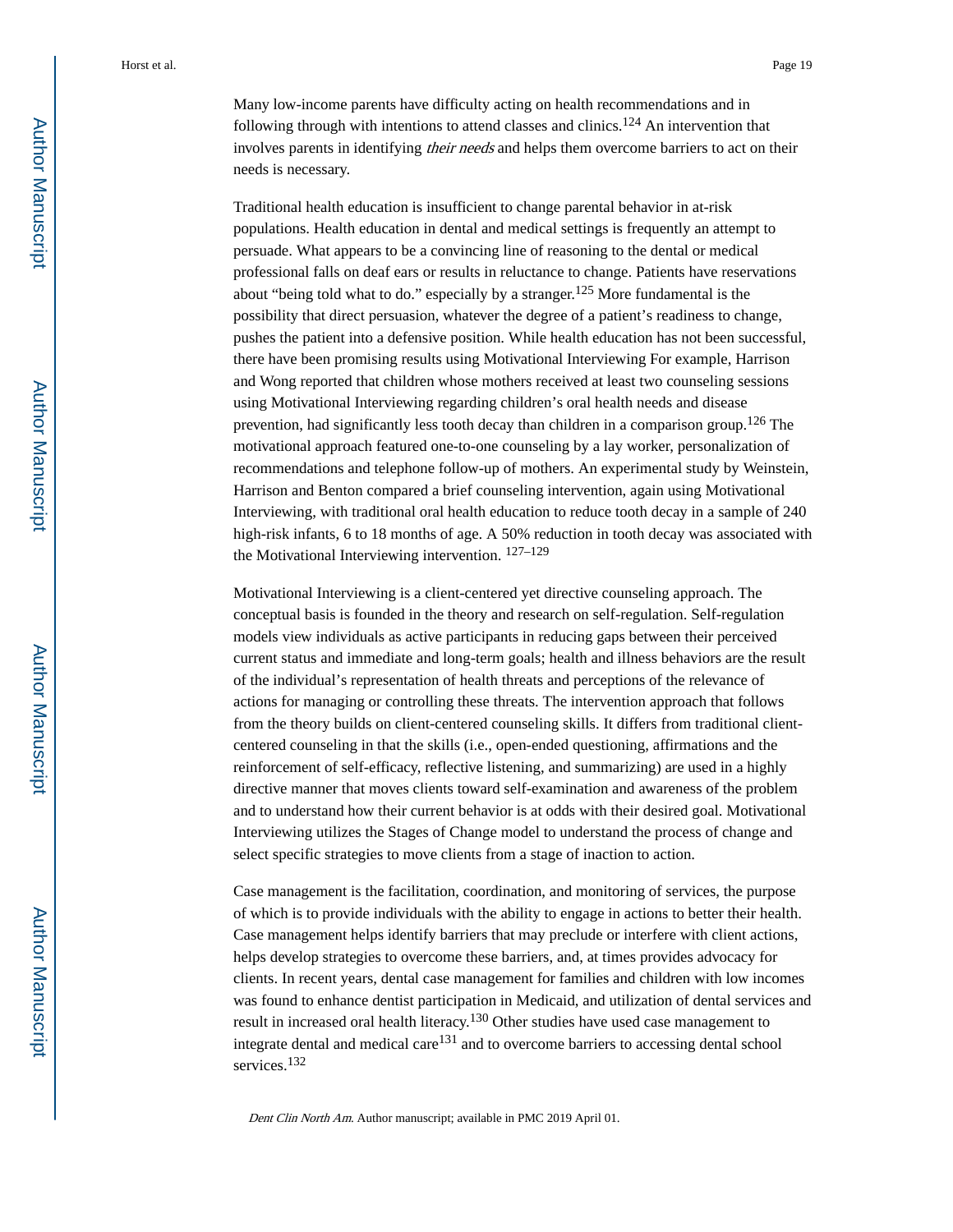Many low-income parents have difficulty acting on health recommendations and in following through with intentions to attend classes and clinics.<sup>124</sup> An intervention that involves parents in identifying *their needs* and helps them overcome barriers to act on their needs is necessary.

Traditional health education is insufficient to change parental behavior in at-risk populations. Health education in dental and medical settings is frequently an attempt to persuade. What appears to be a convincing line of reasoning to the dental or medical professional falls on deaf ears or results in reluctance to change. Patients have reservations about "being told what to do." especially by a stranger.<sup>125</sup> More fundamental is the possibility that direct persuasion, whatever the degree of a patient's readiness to change, pushes the patient into a defensive position. While health education has not been successful, there have been promising results using Motivational Interviewing For example, Harrison and Wong reported that children whose mothers received at least two counseling sessions using Motivational Interviewing regarding children's oral health needs and disease prevention, had significantly less tooth decay than children in a comparison group.126 The motivational approach featured one-to-one counseling by a lay worker, personalization of recommendations and telephone follow-up of mothers. An experimental study by Weinstein, Harrison and Benton compared a brief counseling intervention, again using Motivational Interviewing, with traditional oral health education to reduce tooth decay in a sample of 240 high-risk infants, 6 to 18 months of age. A 50% reduction in tooth decay was associated with the Motivational Interviewing intervention. 127–129

Motivational Interviewing is a client-centered yet directive counseling approach. The conceptual basis is founded in the theory and research on self-regulation. Self-regulation models view individuals as active participants in reducing gaps between their perceived current status and immediate and long-term goals; health and illness behaviors are the result of the individual's representation of health threats and perceptions of the relevance of actions for managing or controlling these threats. The intervention approach that follows from the theory builds on client-centered counseling skills. It differs from traditional clientcentered counseling in that the skills (i.e., open-ended questioning, affirmations and the reinforcement of self-efficacy, reflective listening, and summarizing) are used in a highly directive manner that moves clients toward self-examination and awareness of the problem and to understand how their current behavior is at odds with their desired goal. Motivational Interviewing utilizes the Stages of Change model to understand the process of change and select specific strategies to move clients from a stage of inaction to action.

Case management is the facilitation, coordination, and monitoring of services, the purpose of which is to provide individuals with the ability to engage in actions to better their health. Case management helps identify barriers that may preclude or interfere with client actions, helps develop strategies to overcome these barriers, and, at times provides advocacy for clients. In recent years, dental case management for families and children with low incomes was found to enhance dentist participation in Medicaid, and utilization of dental services and result in increased oral health literacy.<sup>130</sup> Other studies have used case management to integrate dental and medical care<sup>131</sup> and to overcome barriers to accessing dental school services.<sup>132</sup>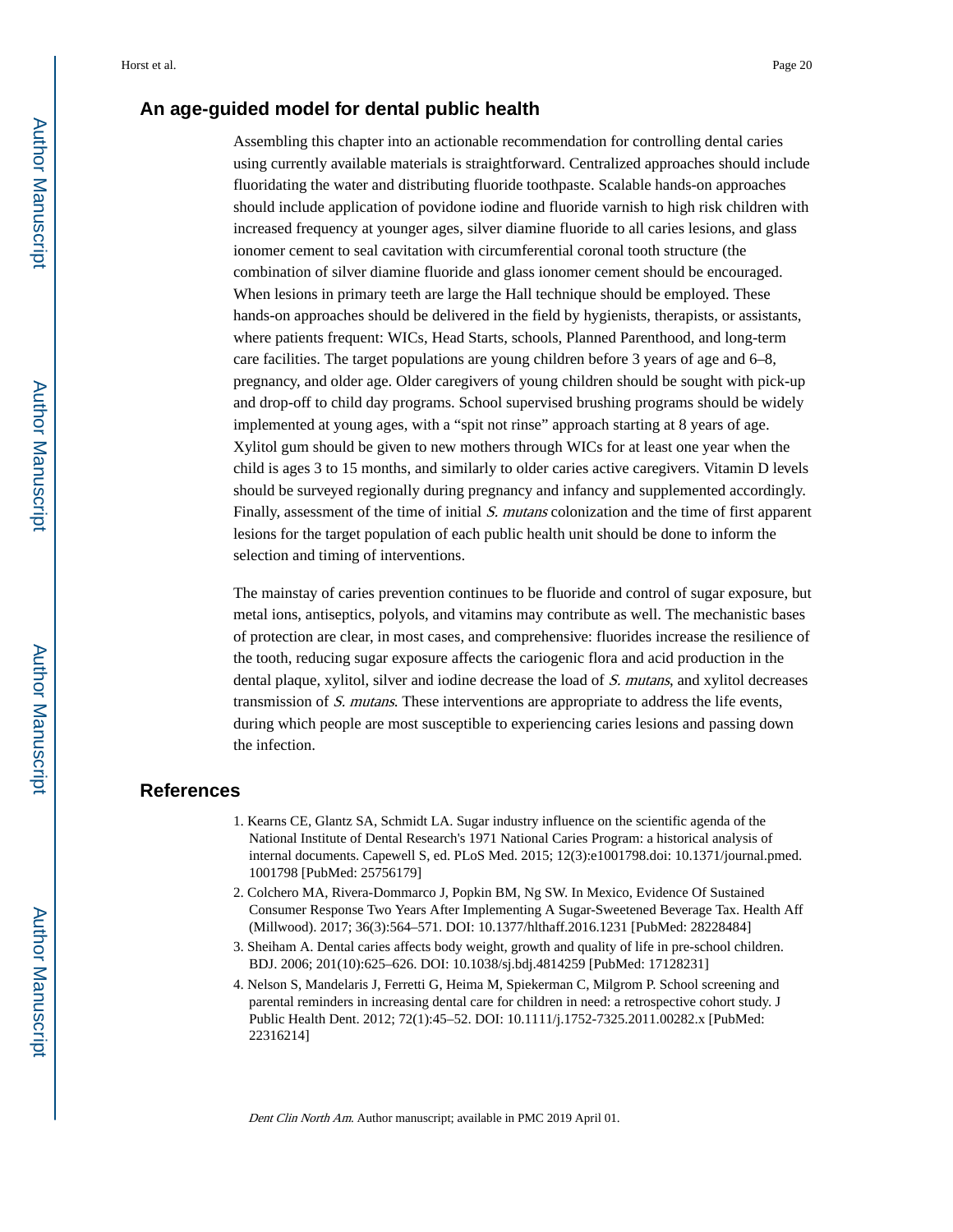# **An age-guided model for dental public health**

Assembling this chapter into an actionable recommendation for controlling dental caries using currently available materials is straightforward. Centralized approaches should include fluoridating the water and distributing fluoride toothpaste. Scalable hands-on approaches should include application of povidone iodine and fluoride varnish to high risk children with increased frequency at younger ages, silver diamine fluoride to all caries lesions, and glass ionomer cement to seal cavitation with circumferential coronal tooth structure (the combination of silver diamine fluoride and glass ionomer cement should be encouraged. When lesions in primary teeth are large the Hall technique should be employed. These hands-on approaches should be delivered in the field by hygienists, therapists, or assistants, where patients frequent: WICs, Head Starts, schools, Planned Parenthood, and long-term care facilities. The target populations are young children before 3 years of age and 6–8, pregnancy, and older age. Older caregivers of young children should be sought with pick-up and drop-off to child day programs. School supervised brushing programs should be widely implemented at young ages, with a "spit not rinse" approach starting at 8 years of age. Xylitol gum should be given to new mothers through WICs for at least one year when the child is ages 3 to 15 months, and similarly to older caries active caregivers. Vitamin D levels should be surveyed regionally during pregnancy and infancy and supplemented accordingly. Finally, assessment of the time of initial S. mutans colonization and the time of first apparent lesions for the target population of each public health unit should be done to inform the selection and timing of interventions.

The mainstay of caries prevention continues to be fluoride and control of sugar exposure, but metal ions, antiseptics, polyols, and vitamins may contribute as well. The mechanistic bases of protection are clear, in most cases, and comprehensive: fluorides increase the resilience of the tooth, reducing sugar exposure affects the cariogenic flora and acid production in the dental plaque, xylitol, silver and iodine decrease the load of S. mutans, and xylitol decreases transmission of S. mutans. These interventions are appropriate to address the life events, during which people are most susceptible to experiencing caries lesions and passing down the infection.

# **References**

- 1. Kearns CE, Glantz SA, Schmidt LA. Sugar industry influence on the scientific agenda of the National Institute of Dental Research's 1971 National Caries Program: a historical analysis of internal documents. Capewell S, ed. PLoS Med. 2015; 12(3):e1001798.doi: 10.1371/journal.pmed. 1001798 [PubMed: 25756179]
- 2. Colchero MA, Rivera-Dommarco J, Popkin BM, Ng SW. In Mexico, Evidence Of Sustained Consumer Response Two Years After Implementing A Sugar-Sweetened Beverage Tax. Health Aff (Millwood). 2017; 36(3):564–571. DOI: 10.1377/hlthaff.2016.1231 [PubMed: 28228484]
- 3. Sheiham A. Dental caries affects body weight, growth and quality of life in pre-school children. BDJ. 2006; 201(10):625–626. DOI: 10.1038/sj.bdj.4814259 [PubMed: 17128231]
- 4. Nelson S, Mandelaris J, Ferretti G, Heima M, Spiekerman C, Milgrom P. School screening and parental reminders in increasing dental care for children in need: a retrospective cohort study. J Public Health Dent. 2012; 72(1):45–52. DOI: 10.1111/j.1752-7325.2011.00282.x [PubMed: 22316214]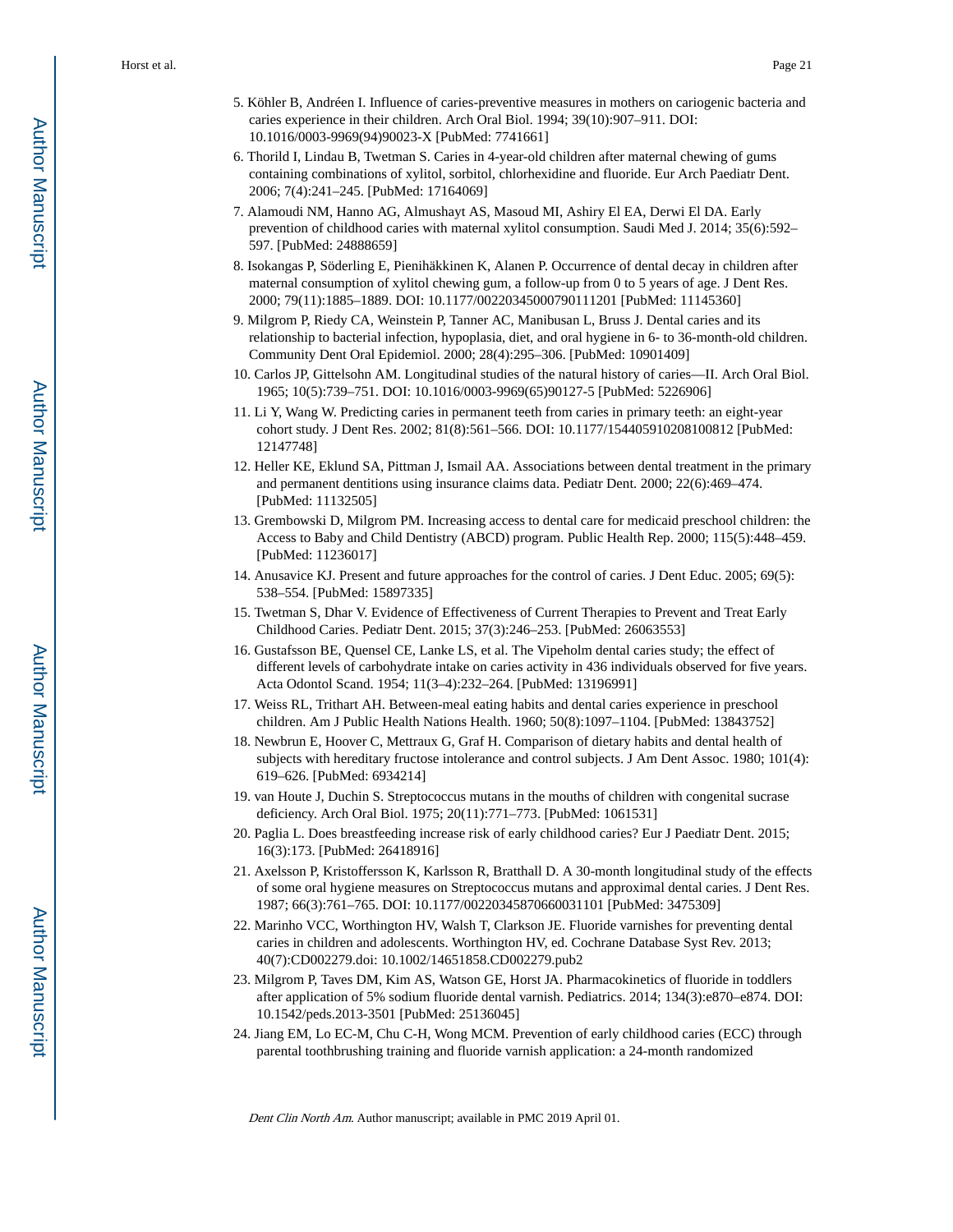- 5. Köhler B, Andréen I. Influence of caries-preventive measures in mothers on cariogenic bacteria and caries experience in their children. Arch Oral Biol. 1994; 39(10):907–911. DOI: 10.1016/0003-9969(94)90023-X [PubMed: 7741661]
- 6. Thorild I, Lindau B, Twetman S. Caries in 4-year-old children after maternal chewing of gums containing combinations of xylitol, sorbitol, chlorhexidine and fluoride. Eur Arch Paediatr Dent. 2006; 7(4):241–245. [PubMed: 17164069]
- 7. Alamoudi NM, Hanno AG, Almushayt AS, Masoud MI, Ashiry El EA, Derwi El DA. Early prevention of childhood caries with maternal xylitol consumption. Saudi Med J. 2014; 35(6):592– 597. [PubMed: 24888659]
- 8. Isokangas P, Söderling E, Pienihäkkinen K, Alanen P. Occurrence of dental decay in children after maternal consumption of xylitol chewing gum, a follow-up from 0 to 5 years of age. J Dent Res. 2000; 79(11):1885–1889. DOI: 10.1177/00220345000790111201 [PubMed: 11145360]
- 9. Milgrom P, Riedy CA, Weinstein P, Tanner AC, Manibusan L, Bruss J. Dental caries and its relationship to bacterial infection, hypoplasia, diet, and oral hygiene in 6- to 36-month-old children. Community Dent Oral Epidemiol. 2000; 28(4):295–306. [PubMed: 10901409]
- 10. Carlos JP, Gittelsohn AM. Longitudinal studies of the natural history of caries—II. Arch Oral Biol. 1965; 10(5):739–751. DOI: 10.1016/0003-9969(65)90127-5 [PubMed: 5226906]
- 11. Li Y, Wang W. Predicting caries in permanent teeth from caries in primary teeth: an eight-year cohort study. J Dent Res. 2002; 81(8):561–566. DOI: 10.1177/154405910208100812 [PubMed: 12147748]
- 12. Heller KE, Eklund SA, Pittman J, Ismail AA. Associations between dental treatment in the primary and permanent dentitions using insurance claims data. Pediatr Dent. 2000; 22(6):469–474. [PubMed: 11132505]
- 13. Grembowski D, Milgrom PM. Increasing access to dental care for medicaid preschool children: the Access to Baby and Child Dentistry (ABCD) program. Public Health Rep. 2000; 115(5):448–459. [PubMed: 11236017]
- 14. Anusavice KJ. Present and future approaches for the control of caries. J Dent Educ. 2005; 69(5): 538–554. [PubMed: 15897335]
- 15. Twetman S, Dhar V. Evidence of Effectiveness of Current Therapies to Prevent and Treat Early Childhood Caries. Pediatr Dent. 2015; 37(3):246–253. [PubMed: 26063553]
- 16. Gustafsson BE, Quensel CE, Lanke LS, et al. The Vipeholm dental caries study; the effect of different levels of carbohydrate intake on caries activity in 436 individuals observed for five years. Acta Odontol Scand. 1954; 11(3–4):232–264. [PubMed: 13196991]
- 17. Weiss RL, Trithart AH. Between-meal eating habits and dental caries experience in preschool children. Am J Public Health Nations Health. 1960; 50(8):1097–1104. [PubMed: 13843752]
- 18. Newbrun E, Hoover C, Mettraux G, Graf H. Comparison of dietary habits and dental health of subjects with hereditary fructose intolerance and control subjects. J Am Dent Assoc. 1980; 101(4): 619–626. [PubMed: 6934214]
- 19. van Houte J, Duchin S. Streptococcus mutans in the mouths of children with congenital sucrase deficiency. Arch Oral Biol. 1975; 20(11):771–773. [PubMed: 1061531]
- 20. Paglia L. Does breastfeeding increase risk of early childhood caries? Eur J Paediatr Dent. 2015; 16(3):173. [PubMed: 26418916]
- 21. Axelsson P, Kristoffersson K, Karlsson R, Bratthall D. A 30-month longitudinal study of the effects of some oral hygiene measures on Streptococcus mutans and approximal dental caries. J Dent Res. 1987; 66(3):761–765. DOI: 10.1177/00220345870660031101 [PubMed: 3475309]
- 22. Marinho VCC, Worthington HV, Walsh T, Clarkson JE. Fluoride varnishes for preventing dental caries in children and adolescents. Worthington HV, ed. Cochrane Database Syst Rev. 2013; 40(7):CD002279.doi: 10.1002/14651858.CD002279.pub2
- 23. Milgrom P, Taves DM, Kim AS, Watson GE, Horst JA. Pharmacokinetics of fluoride in toddlers after application of 5% sodium fluoride dental varnish. Pediatrics. 2014; 134(3):e870–e874. DOI: 10.1542/peds.2013-3501 [PubMed: 25136045]
- 24. Jiang EM, Lo EC-M, Chu C-H, Wong MCM. Prevention of early childhood caries (ECC) through parental toothbrushing training and fluoride varnish application: a 24-month randomized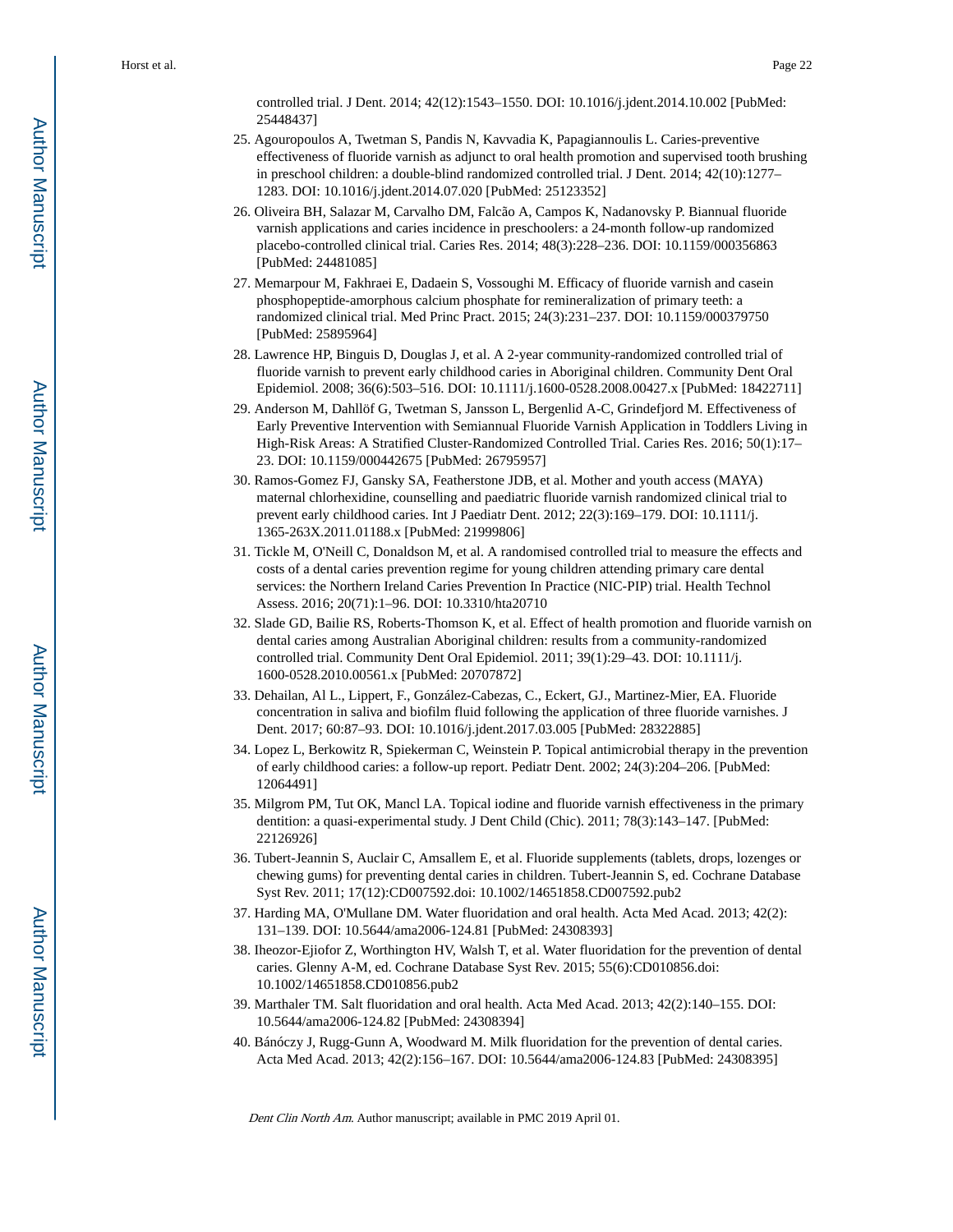controlled trial. J Dent. 2014; 42(12):1543–1550. DOI: 10.1016/j.jdent.2014.10.002 [PubMed: 25448437]

- 25. Agouropoulos A, Twetman S, Pandis N, Kavvadia K, Papagiannoulis L. Caries-preventive effectiveness of fluoride varnish as adjunct to oral health promotion and supervised tooth brushing in preschool children: a double-blind randomized controlled trial. J Dent. 2014; 42(10):1277– 1283. DOI: 10.1016/j.jdent.2014.07.020 [PubMed: 25123352]
- 26. Oliveira BH, Salazar M, Carvalho DM, Falcão A, Campos K, Nadanovsky P. Biannual fluoride varnish applications and caries incidence in preschoolers: a 24-month follow-up randomized placebo-controlled clinical trial. Caries Res. 2014; 48(3):228–236. DOI: 10.1159/000356863 [PubMed: 24481085]
- 27. Memarpour M, Fakhraei E, Dadaein S, Vossoughi M. Efficacy of fluoride varnish and casein phosphopeptide-amorphous calcium phosphate for remineralization of primary teeth: a randomized clinical trial. Med Princ Pract. 2015; 24(3):231–237. DOI: 10.1159/000379750 [PubMed: 25895964]
- 28. Lawrence HP, Binguis D, Douglas J, et al. A 2-year community-randomized controlled trial of fluoride varnish to prevent early childhood caries in Aboriginal children. Community Dent Oral Epidemiol. 2008; 36(6):503–516. DOI: 10.1111/j.1600-0528.2008.00427.x [PubMed: 18422711]
- 29. Anderson M, Dahllöf G, Twetman S, Jansson L, Bergenlid A-C, Grindefjord M. Effectiveness of Early Preventive Intervention with Semiannual Fluoride Varnish Application in Toddlers Living in High-Risk Areas: A Stratified Cluster-Randomized Controlled Trial. Caries Res. 2016; 50(1):17– 23. DOI: 10.1159/000442675 [PubMed: 26795957]
- 30. Ramos-Gomez FJ, Gansky SA, Featherstone JDB, et al. Mother and youth access (MAYA) maternal chlorhexidine, counselling and paediatric fluoride varnish randomized clinical trial to prevent early childhood caries. Int J Paediatr Dent. 2012; 22(3):169–179. DOI: 10.1111/j. 1365-263X.2011.01188.x [PubMed: 21999806]
- 31. Tickle M, O'Neill C, Donaldson M, et al. A randomised controlled trial to measure the effects and costs of a dental caries prevention regime for young children attending primary care dental services: the Northern Ireland Caries Prevention In Practice (NIC-PIP) trial. Health Technol Assess. 2016; 20(71):1–96. DOI: 10.3310/hta20710
- 32. Slade GD, Bailie RS, Roberts-Thomson K, et al. Effect of health promotion and fluoride varnish on dental caries among Australian Aboriginal children: results from a community-randomized controlled trial. Community Dent Oral Epidemiol. 2011; 39(1):29–43. DOI: 10.1111/j. 1600-0528.2010.00561.x [PubMed: 20707872]
- 33. Dehailan, Al L., Lippert, F., González-Cabezas, C., Eckert, GJ., Martinez-Mier, EA. Fluoride concentration in saliva and biofilm fluid following the application of three fluoride varnishes. J Dent. 2017; 60:87–93. DOI: 10.1016/j.jdent.2017.03.005 [PubMed: 28322885]
- 34. Lopez L, Berkowitz R, Spiekerman C, Weinstein P. Topical antimicrobial therapy in the prevention of early childhood caries: a follow-up report. Pediatr Dent. 2002; 24(3):204–206. [PubMed: 12064491]
- 35. Milgrom PM, Tut OK, Mancl LA. Topical iodine and fluoride varnish effectiveness in the primary dentition: a quasi-experimental study. J Dent Child (Chic). 2011; 78(3):143–147. [PubMed: 22126926]
- 36. Tubert-Jeannin S, Auclair C, Amsallem E, et al. Fluoride supplements (tablets, drops, lozenges or chewing gums) for preventing dental caries in children. Tubert-Jeannin S, ed. Cochrane Database Syst Rev. 2011; 17(12):CD007592.doi: 10.1002/14651858.CD007592.pub2
- 37. Harding MA, O'Mullane DM. Water fluoridation and oral health. Acta Med Acad. 2013; 42(2): 131–139. DOI: 10.5644/ama2006-124.81 [PubMed: 24308393]
- 38. Iheozor-Ejiofor Z, Worthington HV, Walsh T, et al. Water fluoridation for the prevention of dental caries. Glenny A-M, ed. Cochrane Database Syst Rev. 2015; 55(6):CD010856.doi: 10.1002/14651858.CD010856.pub2
- 39. Marthaler TM. Salt fluoridation and oral health. Acta Med Acad. 2013; 42(2):140–155. DOI: 10.5644/ama2006-124.82 [PubMed: 24308394]
- 40. Bánóczy J, Rugg-Gunn A, Woodward M. Milk fluoridation for the prevention of dental caries. Acta Med Acad. 2013; 42(2):156–167. DOI: 10.5644/ama2006-124.83 [PubMed: 24308395]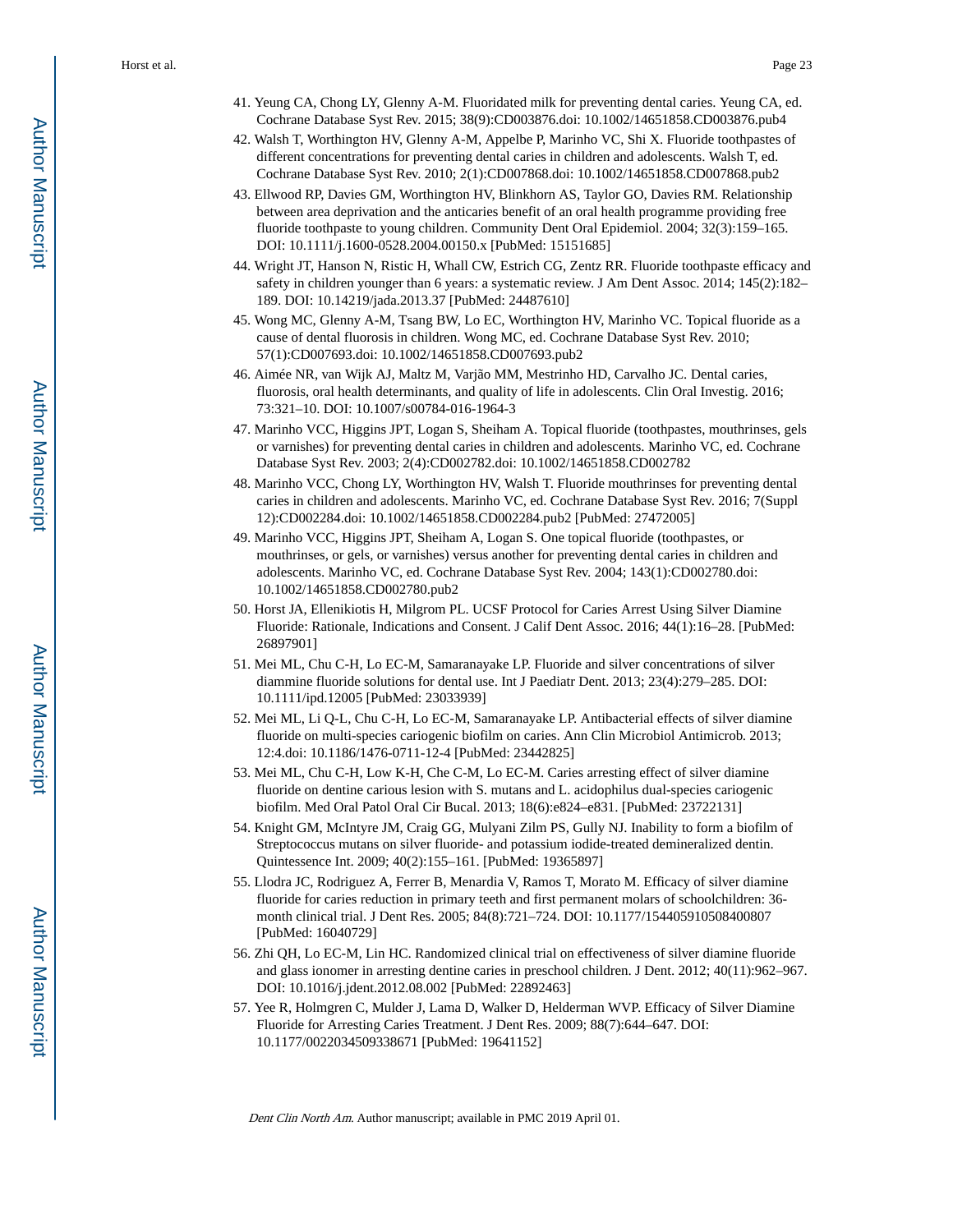- 41. Yeung CA, Chong LY, Glenny A-M. Fluoridated milk for preventing dental caries. Yeung CA, ed. Cochrane Database Syst Rev. 2015; 38(9):CD003876.doi: 10.1002/14651858.CD003876.pub4
- 42. Walsh T, Worthington HV, Glenny A-M, Appelbe P, Marinho VC, Shi X. Fluoride toothpastes of different concentrations for preventing dental caries in children and adolescents. Walsh T, ed. Cochrane Database Syst Rev. 2010; 2(1):CD007868.doi: 10.1002/14651858.CD007868.pub2
- 43. Ellwood RP, Davies GM, Worthington HV, Blinkhorn AS, Taylor GO, Davies RM. Relationship between area deprivation and the anticaries benefit of an oral health programme providing free fluoride toothpaste to young children. Community Dent Oral Epidemiol. 2004; 32(3):159–165. DOI: 10.1111/j.1600-0528.2004.00150.x [PubMed: 15151685]
- 44. Wright JT, Hanson N, Ristic H, Whall CW, Estrich CG, Zentz RR. Fluoride toothpaste efficacy and safety in children younger than 6 years: a systematic review. J Am Dent Assoc. 2014; 145(2):182– 189. DOI: 10.14219/jada.2013.37 [PubMed: 24487610]
- 45. Wong MC, Glenny A-M, Tsang BW, Lo EC, Worthington HV, Marinho VC. Topical fluoride as a cause of dental fluorosis in children. Wong MC, ed. Cochrane Database Syst Rev. 2010; 57(1):CD007693.doi: 10.1002/14651858.CD007693.pub2
- 46. Aimée NR, van Wijk AJ, Maltz M, Varjão MM, Mestrinho HD, Carvalho JC. Dental caries, fluorosis, oral health determinants, and quality of life in adolescents. Clin Oral Investig. 2016; 73:321–10. DOI: 10.1007/s00784-016-1964-3
- 47. Marinho VCC, Higgins JPT, Logan S, Sheiham A. Topical fluoride (toothpastes, mouthrinses, gels or varnishes) for preventing dental caries in children and adolescents. Marinho VC, ed. Cochrane Database Syst Rev. 2003; 2(4):CD002782.doi: 10.1002/14651858.CD002782
- 48. Marinho VCC, Chong LY, Worthington HV, Walsh T. Fluoride mouthrinses for preventing dental caries in children and adolescents. Marinho VC, ed. Cochrane Database Syst Rev. 2016; 7(Suppl 12):CD002284.doi: 10.1002/14651858.CD002284.pub2 [PubMed: 27472005]
- 49. Marinho VCC, Higgins JPT, Sheiham A, Logan S. One topical fluoride (toothpastes, or mouthrinses, or gels, or varnishes) versus another for preventing dental caries in children and adolescents. Marinho VC, ed. Cochrane Database Syst Rev. 2004; 143(1):CD002780.doi: 10.1002/14651858.CD002780.pub2
- 50. Horst JA, Ellenikiotis H, Milgrom PL. UCSF Protocol for Caries Arrest Using Silver Diamine Fluoride: Rationale, Indications and Consent. J Calif Dent Assoc. 2016; 44(1):16–28. [PubMed: 26897901]
- 51. Mei ML, Chu C-H, Lo EC-M, Samaranayake LP. Fluoride and silver concentrations of silver diammine fluoride solutions for dental use. Int J Paediatr Dent. 2013; 23(4):279–285. DOI: 10.1111/ipd.12005 [PubMed: 23033939]
- 52. Mei ML, Li Q-L, Chu C-H, Lo EC-M, Samaranayake LP. Antibacterial effects of silver diamine fluoride on multi-species cariogenic biofilm on caries. Ann Clin Microbiol Antimicrob. 2013; 12:4.doi: 10.1186/1476-0711-12-4 [PubMed: 23442825]
- 53. Mei ML, Chu C-H, Low K-H, Che C-M, Lo EC-M. Caries arresting effect of silver diamine fluoride on dentine carious lesion with S. mutans and L. acidophilus dual-species cariogenic biofilm. Med Oral Patol Oral Cir Bucal. 2013; 18(6):e824–e831. [PubMed: 23722131]
- 54. Knight GM, McIntyre JM, Craig GG, Mulyani Zilm PS, Gully NJ. Inability to form a biofilm of Streptococcus mutans on silver fluoride- and potassium iodide-treated demineralized dentin. Quintessence Int. 2009; 40(2):155–161. [PubMed: 19365897]
- 55. Llodra JC, Rodriguez A, Ferrer B, Menardia V, Ramos T, Morato M. Efficacy of silver diamine fluoride for caries reduction in primary teeth and first permanent molars of schoolchildren: 36 month clinical trial. J Dent Res. 2005; 84(8):721–724. DOI: 10.1177/154405910508400807 [PubMed: 16040729]
- 56. Zhi QH, Lo EC-M, Lin HC. Randomized clinical trial on effectiveness of silver diamine fluoride and glass ionomer in arresting dentine caries in preschool children. J Dent. 2012; 40(11):962–967. DOI: 10.1016/j.jdent.2012.08.002 [PubMed: 22892463]
- 57. Yee R, Holmgren C, Mulder J, Lama D, Walker D, Helderman WVP. Efficacy of Silver Diamine Fluoride for Arresting Caries Treatment. J Dent Res. 2009; 88(7):644–647. DOI: 10.1177/0022034509338671 [PubMed: 19641152]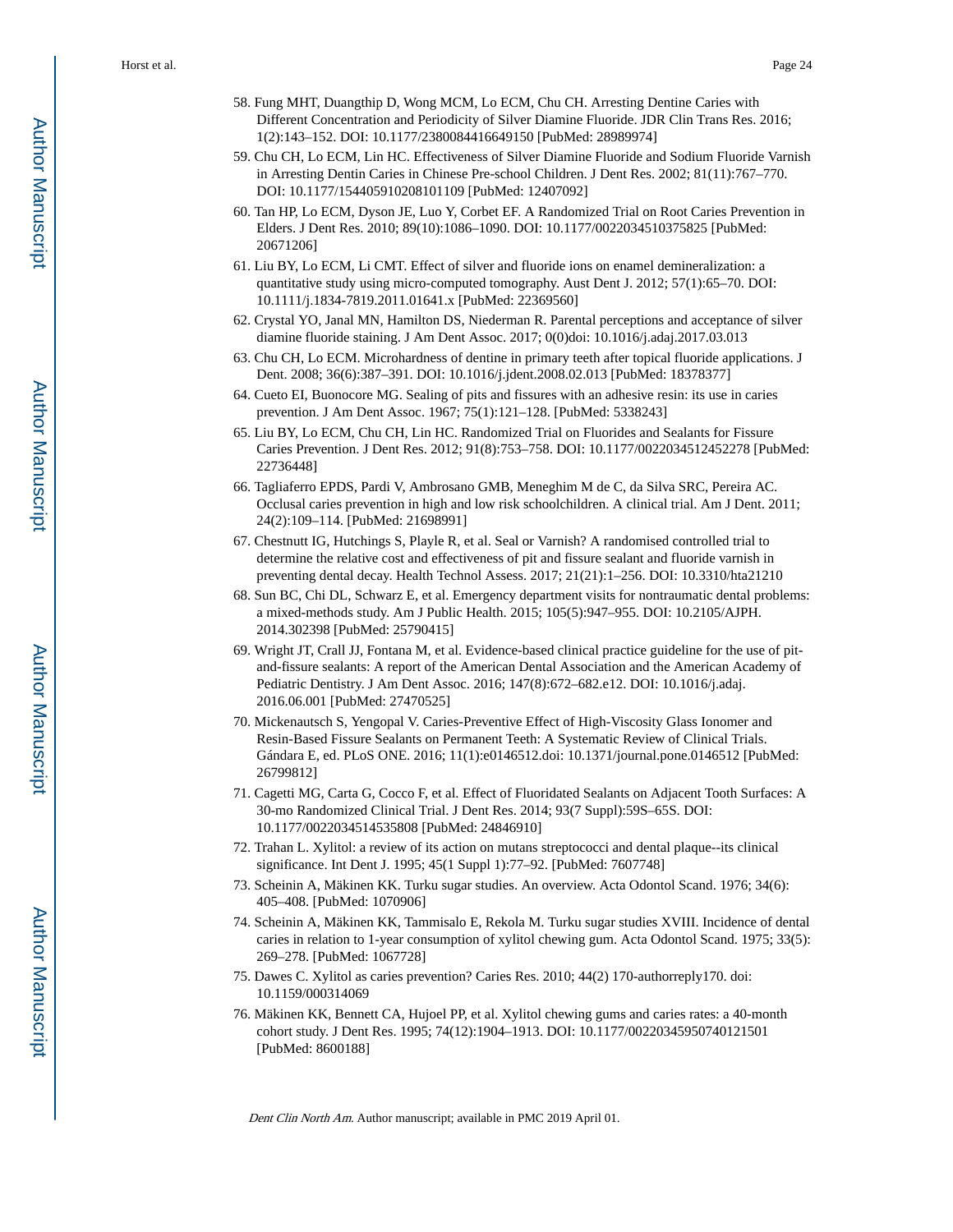- 58. Fung MHT, Duangthip D, Wong MCM, Lo ECM, Chu CH. Arresting Dentine Caries with Different Concentration and Periodicity of Silver Diamine Fluoride. JDR Clin Trans Res. 2016; 1(2):143–152. DOI: 10.1177/2380084416649150 [PubMed: 28989974]
- 59. Chu CH, Lo ECM, Lin HC. Effectiveness of Silver Diamine Fluoride and Sodium Fluoride Varnish in Arresting Dentin Caries in Chinese Pre-school Children. J Dent Res. 2002; 81(11):767–770. DOI: 10.1177/154405910208101109 [PubMed: 12407092]
- 60. Tan HP, Lo ECM, Dyson JE, Luo Y, Corbet EF. A Randomized Trial on Root Caries Prevention in Elders. J Dent Res. 2010; 89(10):1086–1090. DOI: 10.1177/0022034510375825 [PubMed: 20671206]
- 61. Liu BY, Lo ECM, Li CMT. Effect of silver and fluoride ions on enamel demineralization: a quantitative study using micro-computed tomography. Aust Dent J. 2012; 57(1):65–70. DOI: 10.1111/j.1834-7819.2011.01641.x [PubMed: 22369560]
- 62. Crystal YO, Janal MN, Hamilton DS, Niederman R. Parental perceptions and acceptance of silver diamine fluoride staining. J Am Dent Assoc. 2017; 0(0)doi: 10.1016/j.adaj.2017.03.013
- 63. Chu CH, Lo ECM. Microhardness of dentine in primary teeth after topical fluoride applications. J Dent. 2008; 36(6):387–391. DOI: 10.1016/j.jdent.2008.02.013 [PubMed: 18378377]
- 64. Cueto EI, Buonocore MG. Sealing of pits and fissures with an adhesive resin: its use in caries prevention. J Am Dent Assoc. 1967; 75(1):121–128. [PubMed: 5338243]
- 65. Liu BY, Lo ECM, Chu CH, Lin HC. Randomized Trial on Fluorides and Sealants for Fissure Caries Prevention. J Dent Res. 2012; 91(8):753–758. DOI: 10.1177/0022034512452278 [PubMed: 22736448]
- 66. Tagliaferro EPDS, Pardi V, Ambrosano GMB, Meneghim M de C, da Silva SRC, Pereira AC. Occlusal caries prevention in high and low risk schoolchildren. A clinical trial. Am J Dent. 2011; 24(2):109–114. [PubMed: 21698991]
- 67. Chestnutt IG, Hutchings S, Playle R, et al. Seal or Varnish? A randomised controlled trial to determine the relative cost and effectiveness of pit and fissure sealant and fluoride varnish in preventing dental decay. Health Technol Assess. 2017; 21(21):1–256. DOI: 10.3310/hta21210
- 68. Sun BC, Chi DL, Schwarz E, et al. Emergency department visits for nontraumatic dental problems: a mixed-methods study. Am J Public Health. 2015; 105(5):947–955. DOI: 10.2105/AJPH. 2014.302398 [PubMed: 25790415]
- 69. Wright JT, Crall JJ, Fontana M, et al. Evidence-based clinical practice guideline for the use of pitand-fissure sealants: A report of the American Dental Association and the American Academy of Pediatric Dentistry. J Am Dent Assoc. 2016; 147(8):672–682.e12. DOI: 10.1016/j.adaj. 2016.06.001 [PubMed: 27470525]
- 70. Mickenautsch S, Yengopal V. Caries-Preventive Effect of High-Viscosity Glass Ionomer and Resin-Based Fissure Sealants on Permanent Teeth: A Systematic Review of Clinical Trials. Gándara E, ed. PLoS ONE. 2016; 11(1):e0146512.doi: 10.1371/journal.pone.0146512 [PubMed: 26799812]
- 71. Cagetti MG, Carta G, Cocco F, et al. Effect of Fluoridated Sealants on Adjacent Tooth Surfaces: A 30-mo Randomized Clinical Trial. J Dent Res. 2014; 93(7 Suppl):59S–65S. DOI: 10.1177/0022034514535808 [PubMed: 24846910]
- 72. Trahan L. Xylitol: a review of its action on mutans streptococci and dental plaque--its clinical significance. Int Dent J. 1995; 45(1 Suppl 1):77–92. [PubMed: 7607748]
- 73. Scheinin A, Mäkinen KK. Turku sugar studies. An overview. Acta Odontol Scand. 1976; 34(6): 405–408. [PubMed: 1070906]
- 74. Scheinin A, Mäkinen KK, Tammisalo E, Rekola M. Turku sugar studies XVIII. Incidence of dental caries in relation to 1-year consumption of xylitol chewing gum. Acta Odontol Scand. 1975; 33(5): 269–278. [PubMed: 1067728]
- 75. Dawes C. Xylitol as caries prevention? Caries Res. 2010; 44(2) 170-authorreply170. doi: 10.1159/000314069
- 76. Mäkinen KK, Bennett CA, Hujoel PP, et al. Xylitol chewing gums and caries rates: a 40-month cohort study. J Dent Res. 1995; 74(12):1904–1913. DOI: 10.1177/00220345950740121501 [PubMed: 8600188]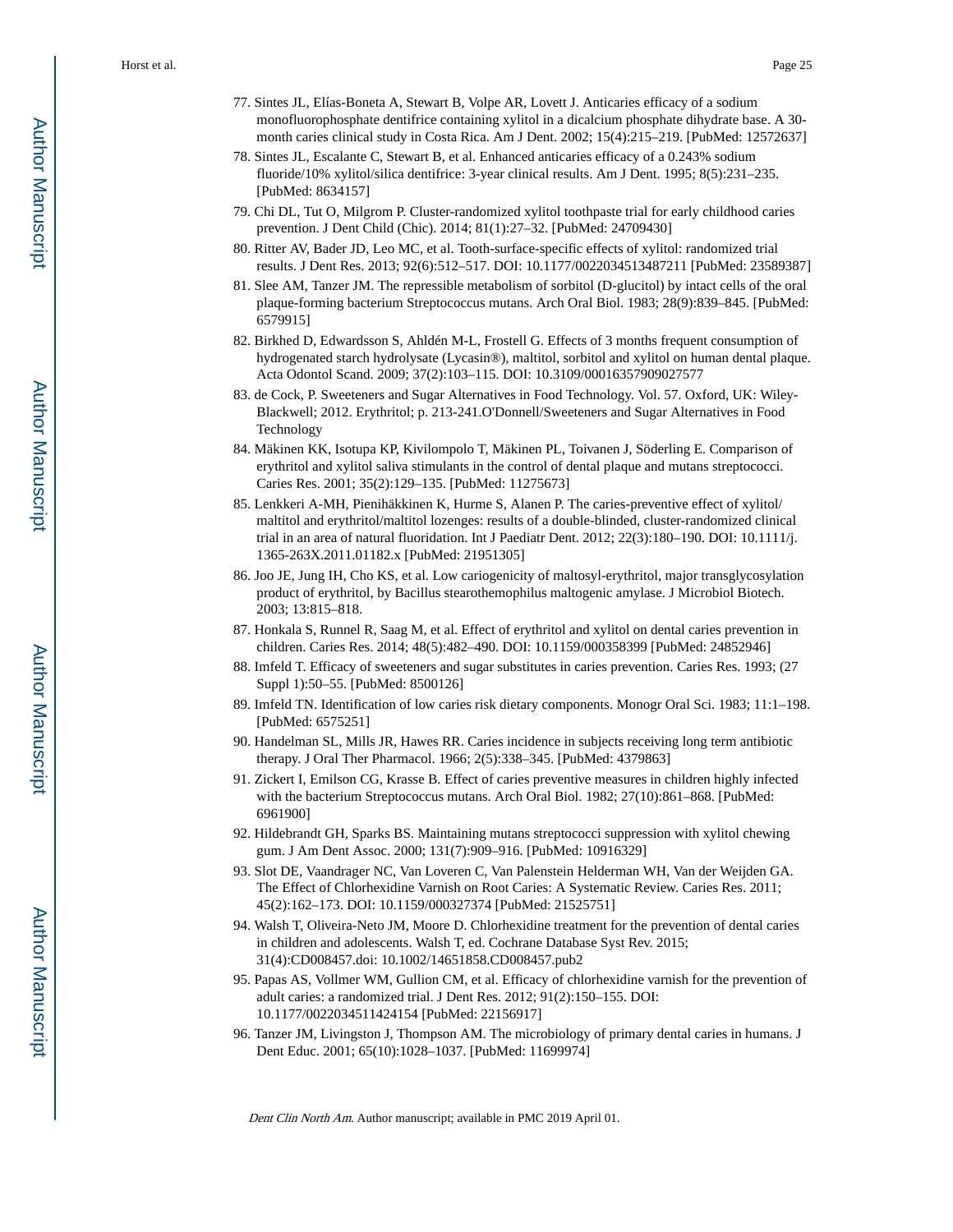- 77. Sintes JL, Elías-Boneta A, Stewart B, Volpe AR, Lovett J. Anticaries efficacy of a sodium monofluorophosphate dentifrice containing xylitol in a dicalcium phosphate dihydrate base. A 30 month caries clinical study in Costa Rica. Am J Dent. 2002; 15(4):215–219. [PubMed: 12572637]
- 78. Sintes JL, Escalante C, Stewart B, et al. Enhanced anticaries efficacy of a 0.243% sodium fluoride/10% xylitol/silica dentifrice: 3-year clinical results. Am J Dent. 1995; 8(5):231–235. [PubMed: 8634157]
- 79. Chi DL, Tut O, Milgrom P. Cluster-randomized xylitol toothpaste trial for early childhood caries prevention. J Dent Child (Chic). 2014; 81(1):27–32. [PubMed: 24709430]
- 80. Ritter AV, Bader JD, Leo MC, et al. Tooth-surface-specific effects of xylitol: randomized trial results. J Dent Res. 2013; 92(6):512–517. DOI: 10.1177/0022034513487211 [PubMed: 23589387]
- 81. Slee AM, Tanzer JM. The repressible metabolism of sorbitol (D-glucitol) by intact cells of the oral plaque-forming bacterium Streptococcus mutans. Arch Oral Biol. 1983; 28(9):839–845. [PubMed: 6579915]
- 82. Birkhed D, Edwardsson S, Ahldén M-L, Frostell G. Effects of 3 months frequent consumption of hydrogenated starch hydrolysate (Lycasin®), maltitol, sorbitol and xylitol on human dental plaque. Acta Odontol Scand. 2009; 37(2):103–115. DOI: 10.3109/00016357909027577
- 83. de Cock, P. Sweeteners and Sugar Alternatives in Food Technology. Vol. 57. Oxford, UK: Wiley-Blackwell; 2012. Erythritol; p. 213-241.O'Donnell/Sweeteners and Sugar Alternatives in Food Technology
- 84. Mäkinen KK, Isotupa KP, Kivilompolo T, Mäkinen PL, Toivanen J, Söderling E. Comparison of erythritol and xylitol saliva stimulants in the control of dental plaque and mutans streptococci. Caries Res. 2001; 35(2):129–135. [PubMed: 11275673]
- 85. Lenkkeri A-MH, Pienihäkkinen K, Hurme S, Alanen P. The caries-preventive effect of xylitol/ maltitol and erythritol/maltitol lozenges: results of a double-blinded, cluster-randomized clinical trial in an area of natural fluoridation. Int J Paediatr Dent. 2012; 22(3):180–190. DOI: 10.1111/j. 1365-263X.2011.01182.x [PubMed: 21951305]
- 86. Joo JE, Jung IH, Cho KS, et al. Low cariogenicity of maltosyl-erythritol, major transglycosylation product of erythritol, by Bacillus stearothemophilus maltogenic amylase. J Microbiol Biotech. 2003; 13:815–818.
- 87. Honkala S, Runnel R, Saag M, et al. Effect of erythritol and xylitol on dental caries prevention in children. Caries Res. 2014; 48(5):482–490. DOI: 10.1159/000358399 [PubMed: 24852946]
- 88. Imfeld T. Efficacy of sweeteners and sugar substitutes in caries prevention. Caries Res. 1993; (27 Suppl 1):50–55. [PubMed: 8500126]
- 89. Imfeld TN. Identification of low caries risk dietary components. Monogr Oral Sci. 1983; 11:1–198. [PubMed: 6575251]
- 90. Handelman SL, Mills JR, Hawes RR. Caries incidence in subjects receiving long term antibiotic therapy. J Oral Ther Pharmacol. 1966; 2(5):338–345. [PubMed: 4379863]
- 91. Zickert I, Emilson CG, Krasse B. Effect of caries preventive measures in children highly infected with the bacterium Streptococcus mutans. Arch Oral Biol. 1982; 27(10):861–868. [PubMed: 6961900]
- 92. Hildebrandt GH, Sparks BS. Maintaining mutans streptococci suppression with xylitol chewing gum. J Am Dent Assoc. 2000; 131(7):909–916. [PubMed: 10916329]
- 93. Slot DE, Vaandrager NC, Van Loveren C, Van Palenstein Helderman WH, Van der Weijden GA. The Effect of Chlorhexidine Varnish on Root Caries: A Systematic Review. Caries Res. 2011; 45(2):162–173. DOI: 10.1159/000327374 [PubMed: 21525751]
- 94. Walsh T, Oliveira-Neto JM, Moore D. Chlorhexidine treatment for the prevention of dental caries in children and adolescents. Walsh T, ed. Cochrane Database Syst Rev. 2015; 31(4):CD008457.doi: 10.1002/14651858.CD008457.pub2
- 95. Papas AS, Vollmer WM, Gullion CM, et al. Efficacy of chlorhexidine varnish for the prevention of adult caries: a randomized trial. J Dent Res. 2012; 91(2):150–155. DOI: 10.1177/0022034511424154 [PubMed: 22156917]
- 96. Tanzer JM, Livingston J, Thompson AM. The microbiology of primary dental caries in humans. J Dent Educ. 2001; 65(10):1028–1037. [PubMed: 11699974]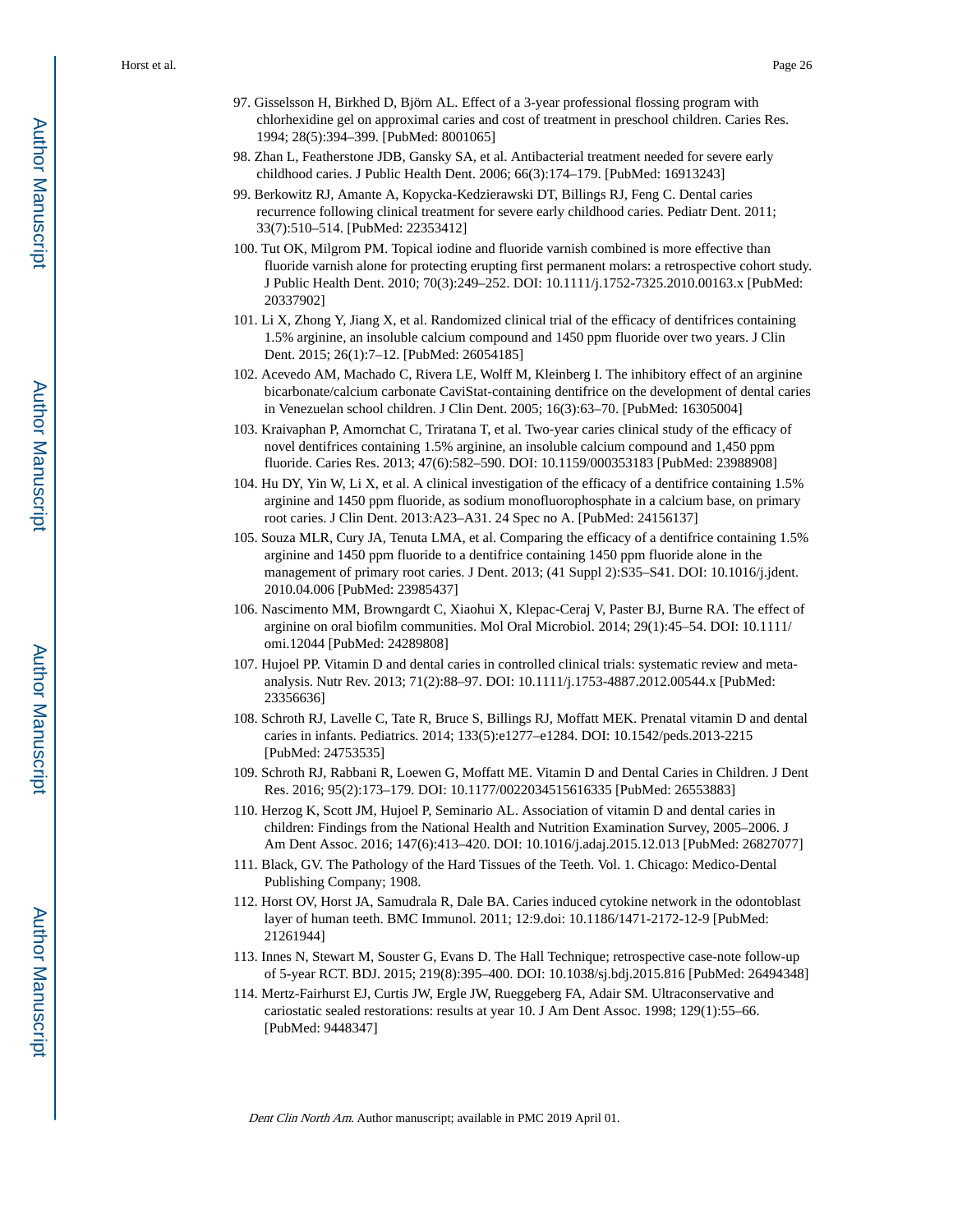- 97. Gisselsson H, Birkhed D, Björn AL. Effect of a 3-year professional flossing program with chlorhexidine gel on approximal caries and cost of treatment in preschool children. Caries Res. 1994; 28(5):394–399. [PubMed: 8001065]
- 98. Zhan L, Featherstone JDB, Gansky SA, et al. Antibacterial treatment needed for severe early childhood caries. J Public Health Dent. 2006; 66(3):174–179. [PubMed: 16913243]
- 99. Berkowitz RJ, Amante A, Kopycka-Kedzierawski DT, Billings RJ, Feng C. Dental caries recurrence following clinical treatment for severe early childhood caries. Pediatr Dent. 2011; 33(7):510–514. [PubMed: 22353412]
- 100. Tut OK, Milgrom PM. Topical iodine and fluoride varnish combined is more effective than fluoride varnish alone for protecting erupting first permanent molars: a retrospective cohort study. J Public Health Dent. 2010; 70(3):249–252. DOI: 10.1111/j.1752-7325.2010.00163.x [PubMed: 20337902]
- 101. Li X, Zhong Y, Jiang X, et al. Randomized clinical trial of the efficacy of dentifrices containing 1.5% arginine, an insoluble calcium compound and 1450 ppm fluoride over two years. J Clin Dent. 2015; 26(1):7–12. [PubMed: 26054185]
- 102. Acevedo AM, Machado C, Rivera LE, Wolff M, Kleinberg I. The inhibitory effect of an arginine bicarbonate/calcium carbonate CaviStat-containing dentifrice on the development of dental caries in Venezuelan school children. J Clin Dent. 2005; 16(3):63–70. [PubMed: 16305004]
- 103. Kraivaphan P, Amornchat C, Triratana T, et al. Two-year caries clinical study of the efficacy of novel dentifrices containing 1.5% arginine, an insoluble calcium compound and 1,450 ppm fluoride. Caries Res. 2013; 47(6):582–590. DOI: 10.1159/000353183 [PubMed: 23988908]
- 104. Hu DY, Yin W, Li X, et al. A clinical investigation of the efficacy of a dentifrice containing 1.5% arginine and 1450 ppm fluoride, as sodium monofluorophosphate in a calcium base, on primary root caries. J Clin Dent. 2013:A23–A31. 24 Spec no A. [PubMed: 24156137]
- 105. Souza MLR, Cury JA, Tenuta LMA, et al. Comparing the efficacy of a dentifrice containing 1.5% arginine and 1450 ppm fluoride to a dentifrice containing 1450 ppm fluoride alone in the management of primary root caries. J Dent. 2013; (41 Suppl 2):S35–S41. DOI: 10.1016/j.jdent. 2010.04.006 [PubMed: 23985437]
- 106. Nascimento MM, Browngardt C, Xiaohui X, Klepac-Ceraj V, Paster BJ, Burne RA. The effect of arginine on oral biofilm communities. Mol Oral Microbiol. 2014; 29(1):45–54. DOI: 10.1111/ omi.12044 [PubMed: 24289808]
- 107. Hujoel PP. Vitamin D and dental caries in controlled clinical trials: systematic review and metaanalysis. Nutr Rev. 2013; 71(2):88–97. DOI: 10.1111/j.1753-4887.2012.00544.x [PubMed: 23356636]
- 108. Schroth RJ, Lavelle C, Tate R, Bruce S, Billings RJ, Moffatt MEK. Prenatal vitamin D and dental caries in infants. Pediatrics. 2014; 133(5):e1277–e1284. DOI: 10.1542/peds.2013-2215 [PubMed: 24753535]
- 109. Schroth RJ, Rabbani R, Loewen G, Moffatt ME. Vitamin D and Dental Caries in Children. J Dent Res. 2016; 95(2):173–179. DOI: 10.1177/0022034515616335 [PubMed: 26553883]
- 110. Herzog K, Scott JM, Hujoel P, Seminario AL. Association of vitamin D and dental caries in children: Findings from the National Health and Nutrition Examination Survey, 2005–2006. J Am Dent Assoc. 2016; 147(6):413–420. DOI: 10.1016/j.adaj.2015.12.013 [PubMed: 26827077]
- 111. Black, GV. The Pathology of the Hard Tissues of the Teeth. Vol. 1. Chicago: Medico-Dental Publishing Company; 1908.
- 112. Horst OV, Horst JA, Samudrala R, Dale BA. Caries induced cytokine network in the odontoblast layer of human teeth. BMC Immunol. 2011; 12:9.doi: 10.1186/1471-2172-12-9 [PubMed: 21261944]
- 113. Innes N, Stewart M, Souster G, Evans D. The Hall Technique; retrospective case-note follow-up of 5-year RCT. BDJ. 2015; 219(8):395–400. DOI: 10.1038/sj.bdj.2015.816 [PubMed: 26494348]
- 114. Mertz-Fairhurst EJ, Curtis JW, Ergle JW, Rueggeberg FA, Adair SM. Ultraconservative and cariostatic sealed restorations: results at year 10. J Am Dent Assoc. 1998; 129(1):55–66. [PubMed: 9448347]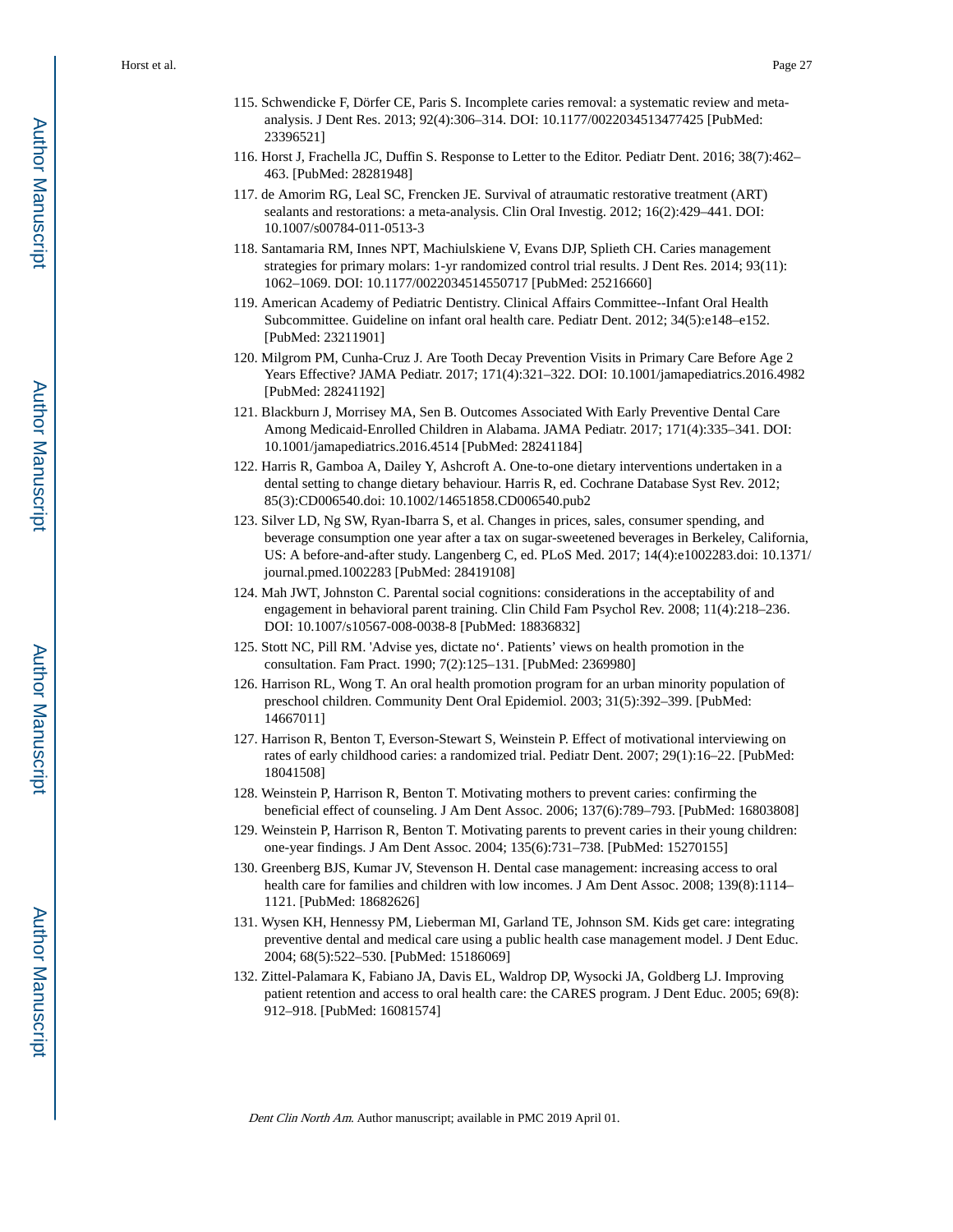- 115. Schwendicke F, Dörfer CE, Paris S. Incomplete caries removal: a systematic review and metaanalysis. J Dent Res. 2013; 92(4):306–314. DOI: 10.1177/0022034513477425 [PubMed: 23396521]
- 116. Horst J, Frachella JC, Duffin S. Response to Letter to the Editor. Pediatr Dent. 2016; 38(7):462– 463. [PubMed: 28281948]
- 117. de Amorim RG, Leal SC, Frencken JE. Survival of atraumatic restorative treatment (ART) sealants and restorations: a meta-analysis. Clin Oral Investig. 2012; 16(2):429–441. DOI: 10.1007/s00784-011-0513-3
- 118. Santamaria RM, Innes NPT, Machiulskiene V, Evans DJP, Splieth CH. Caries management strategies for primary molars: 1-yr randomized control trial results. J Dent Res. 2014; 93(11): 1062–1069. DOI: 10.1177/0022034514550717 [PubMed: 25216660]
- 119. American Academy of Pediatric Dentistry. Clinical Affairs Committee--Infant Oral Health Subcommittee. Guideline on infant oral health care. Pediatr Dent. 2012; 34(5):e148–e152. [PubMed: 23211901]
- 120. Milgrom PM, Cunha-Cruz J. Are Tooth Decay Prevention Visits in Primary Care Before Age 2 Years Effective? JAMA Pediatr. 2017; 171(4):321–322. DOI: 10.1001/jamapediatrics.2016.4982 [PubMed: 28241192]
- 121. Blackburn J, Morrisey MA, Sen B. Outcomes Associated With Early Preventive Dental Care Among Medicaid-Enrolled Children in Alabama. JAMA Pediatr. 2017; 171(4):335–341. DOI: 10.1001/jamapediatrics.2016.4514 [PubMed: 28241184]
- 122. Harris R, Gamboa A, Dailey Y, Ashcroft A. One-to-one dietary interventions undertaken in a dental setting to change dietary behaviour. Harris R, ed. Cochrane Database Syst Rev. 2012; 85(3):CD006540.doi: 10.1002/14651858.CD006540.pub2
- 123. Silver LD, Ng SW, Ryan-Ibarra S, et al. Changes in prices, sales, consumer spending, and beverage consumption one year after a tax on sugar-sweetened beverages in Berkeley, California, US: A before-and-after study. Langenberg C, ed. PLoS Med. 2017; 14(4):e1002283.doi: 10.1371/ journal.pmed.1002283 [PubMed: 28419108]
- 124. Mah JWT, Johnston C. Parental social cognitions: considerations in the acceptability of and engagement in behavioral parent training. Clin Child Fam Psychol Rev. 2008; 11(4):218–236. DOI: 10.1007/s10567-008-0038-8 [PubMed: 18836832]
- 125. Stott NC, Pill RM. 'Advise yes, dictate no'. Patients' views on health promotion in the consultation. Fam Pract. 1990; 7(2):125–131. [PubMed: 2369980]
- 126. Harrison RL, Wong T. An oral health promotion program for an urban minority population of preschool children. Community Dent Oral Epidemiol. 2003; 31(5):392–399. [PubMed: 14667011]
- 127. Harrison R, Benton T, Everson-Stewart S, Weinstein P. Effect of motivational interviewing on rates of early childhood caries: a randomized trial. Pediatr Dent. 2007; 29(1):16–22. [PubMed: 18041508]
- 128. Weinstein P, Harrison R, Benton T. Motivating mothers to prevent caries: confirming the beneficial effect of counseling. J Am Dent Assoc. 2006; 137(6):789–793. [PubMed: 16803808]
- 129. Weinstein P, Harrison R, Benton T. Motivating parents to prevent caries in their young children: one-year findings. J Am Dent Assoc. 2004; 135(6):731–738. [PubMed: 15270155]
- 130. Greenberg BJS, Kumar JV, Stevenson H. Dental case management: increasing access to oral health care for families and children with low incomes. J Am Dent Assoc. 2008; 139(8):1114– 1121. [PubMed: 18682626]
- 131. Wysen KH, Hennessy PM, Lieberman MI, Garland TE, Johnson SM. Kids get care: integrating preventive dental and medical care using a public health case management model. J Dent Educ. 2004; 68(5):522–530. [PubMed: 15186069]
- 132. Zittel-Palamara K, Fabiano JA, Davis EL, Waldrop DP, Wysocki JA, Goldberg LJ. Improving patient retention and access to oral health care: the CARES program. J Dent Educ. 2005; 69(8): 912–918. [PubMed: 16081574]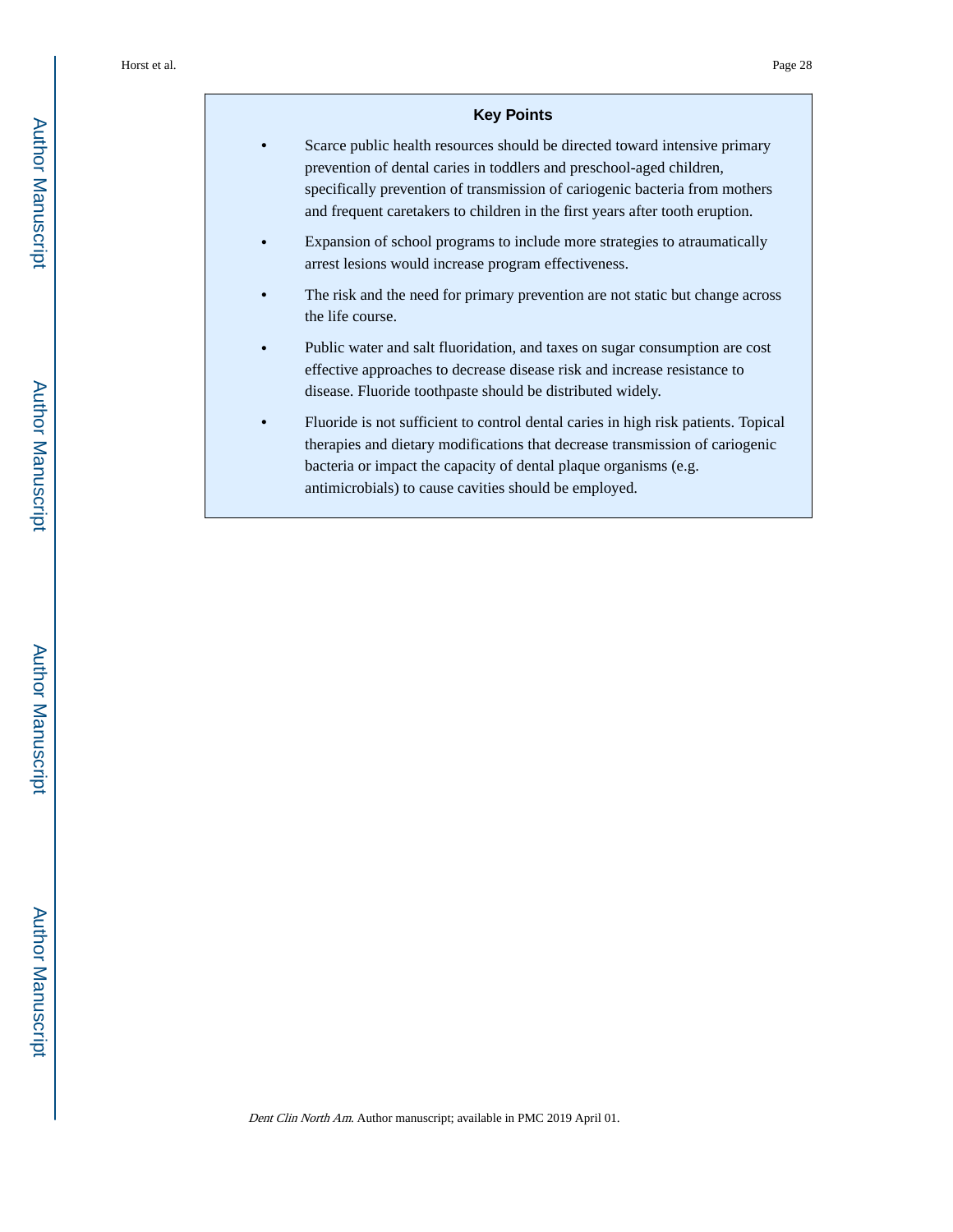# **Key Points**

- **•** Scarce public health resources should be directed toward intensive primary prevention of dental caries in toddlers and preschool-aged children, specifically prevention of transmission of cariogenic bacteria from mothers and frequent caretakers to children in the first years after tooth eruption.
- **•** Expansion of school programs to include more strategies to atraumatically arrest lesions would increase program effectiveness.
- The risk and the need for primary prevention are not static but change across the life course.
- **•** Public water and salt fluoridation, and taxes on sugar consumption are cost effective approaches to decrease disease risk and increase resistance to disease. Fluoride toothpaste should be distributed widely.
- **•** Fluoride is not sufficient to control dental caries in high risk patients. Topical therapies and dietary modifications that decrease transmission of cariogenic bacteria or impact the capacity of dental plaque organisms (e.g. antimicrobials) to cause cavities should be employed.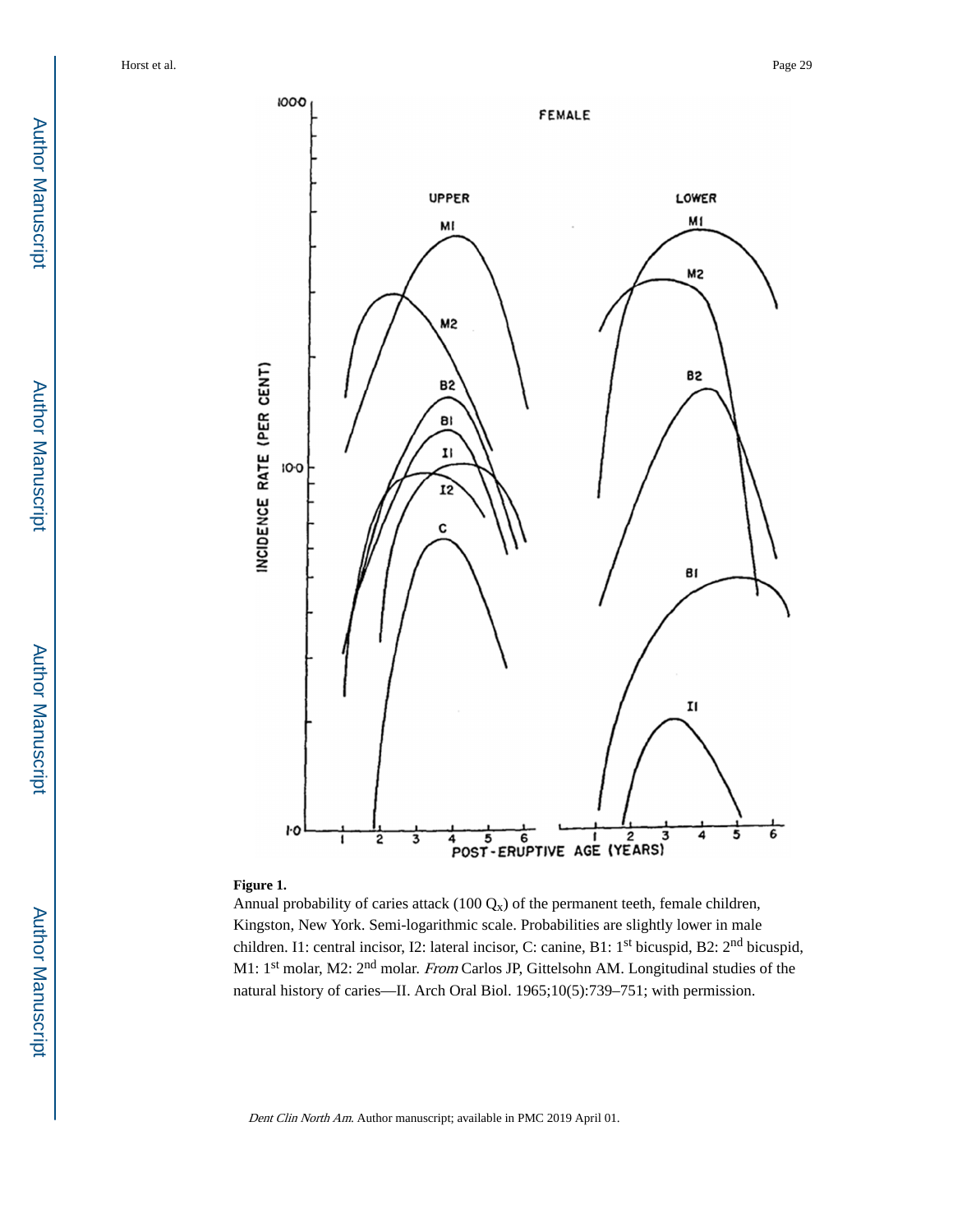

#### **Figure 1.**

Annual probability of caries attack  $(100 Q_x)$  of the permanent teeth, female children, Kingston, New York. Semi-logarithmic scale. Probabilities are slightly lower in male children. I1: central incisor, I2: lateral incisor, C: canine, B1: 1<sup>st</sup> bicuspid, B2: 2<sup>nd</sup> bicuspid, M1: 1<sup>st</sup> molar, M2: 2<sup>nd</sup> molar. From Carlos JP, Gittelsohn AM. Longitudinal studies of the natural history of caries—II. Arch Oral Biol. 1965;10(5):739–751; with permission.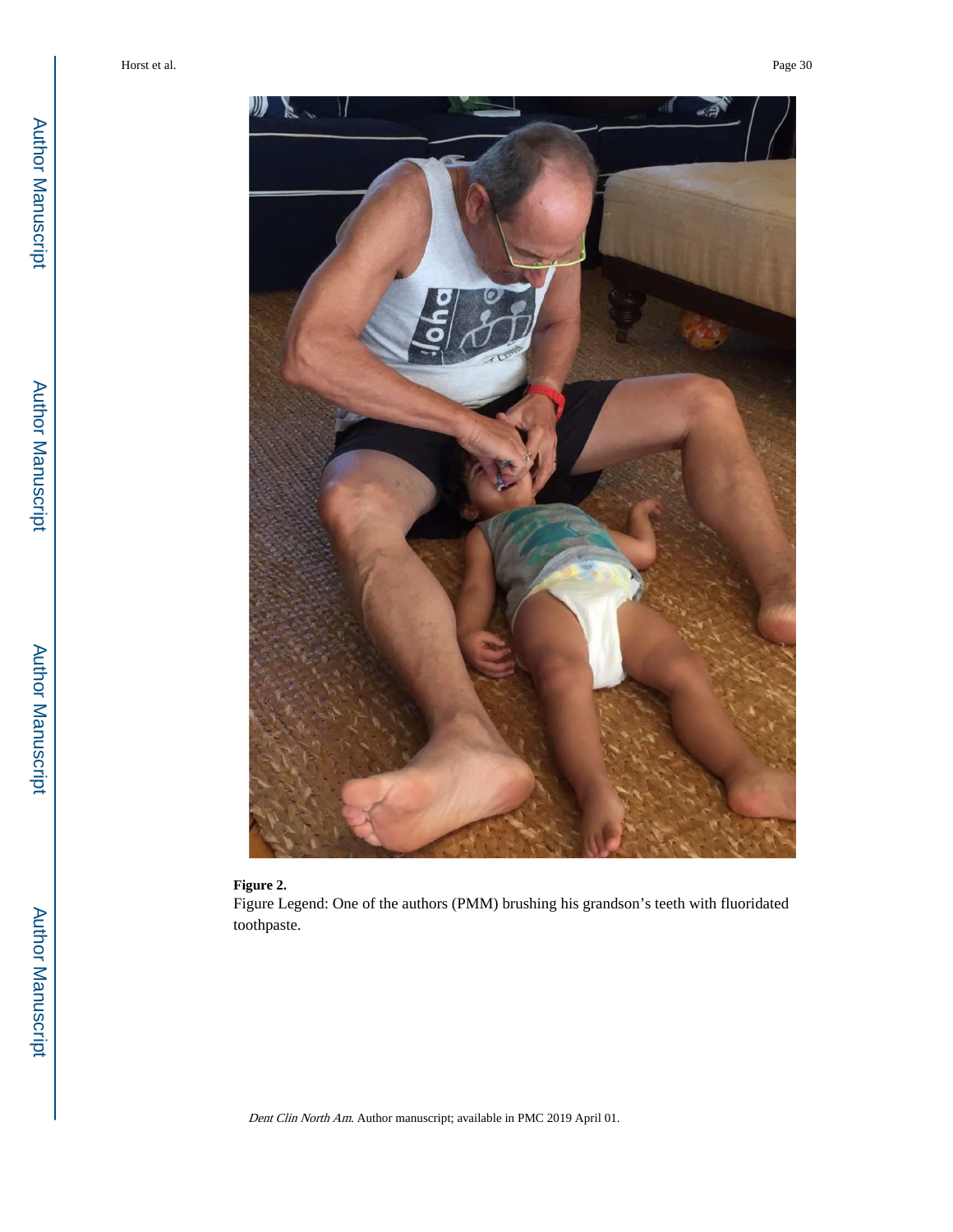

# **Figure 2.**

Figure Legend: One of the authors (PMM) brushing his grandson's teeth with fluoridated toothpaste.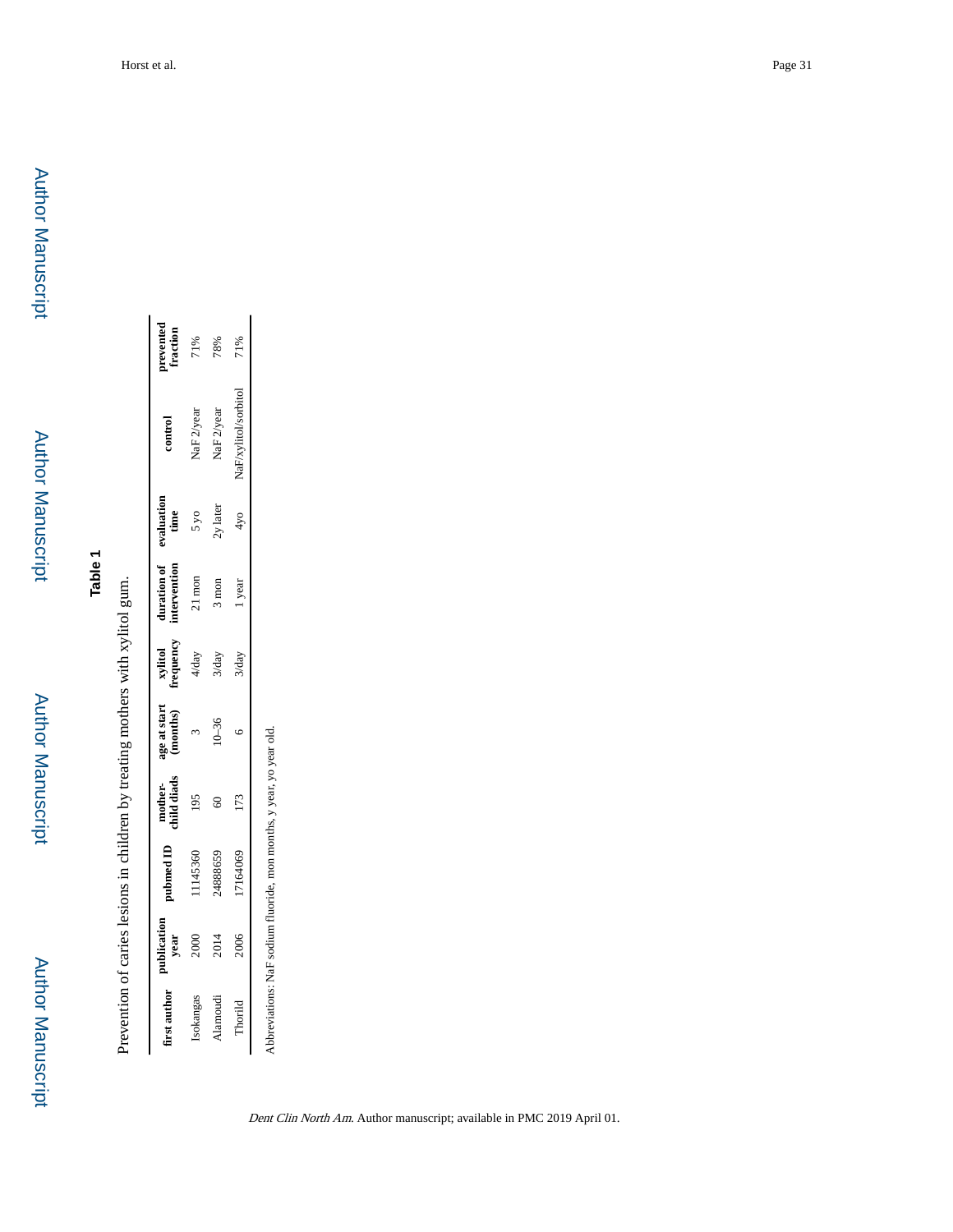**Author Manuscript** 

Prevention of caries lesions in children by treating mothers with xylitol gum. Prevention of caries lesions in children by treating mothers with xylitol gum.

| first author   | ublication<br>year | ubmed $\mathbf L$ | mother-<br>hild diads | age at start<br>(months) | xylitol<br>trequency | duration of<br>intervention | evaluation<br>time | ontrol               | prevented<br>fraction |
|----------------|--------------------|-------------------|-----------------------|--------------------------|----------------------|-----------------------------|--------------------|----------------------|-----------------------|
| 'sokangas      | 2000               | 1145360           | 195                   | $\frac{3}{2}$            | 4/day                | $21 \text{ mon}$            | 5y0                | VaF 2/year           | 71%                   |
| <b>lamoudi</b> | 2014               | 488865            | g                     | $0 - 36$                 | $3$ day              | 3 mon                       | $2y$ later         | VaF 2/year           | 78%                   |
| Thorild        | 2006               | '7164069          | 173                   |                          | 3/day                | 1 year                      | 4y <sub>0</sub>    | VaF/xylitol/sorbitol | 71%                   |
|                |                    |                   |                       |                          |                      |                             |                    |                      |                       |

Abbreviations: NaF sodium fluoride, mon months, y year, yo year old. Abbreviations: NaF sodium fluoride, mon months, y year, yo year old.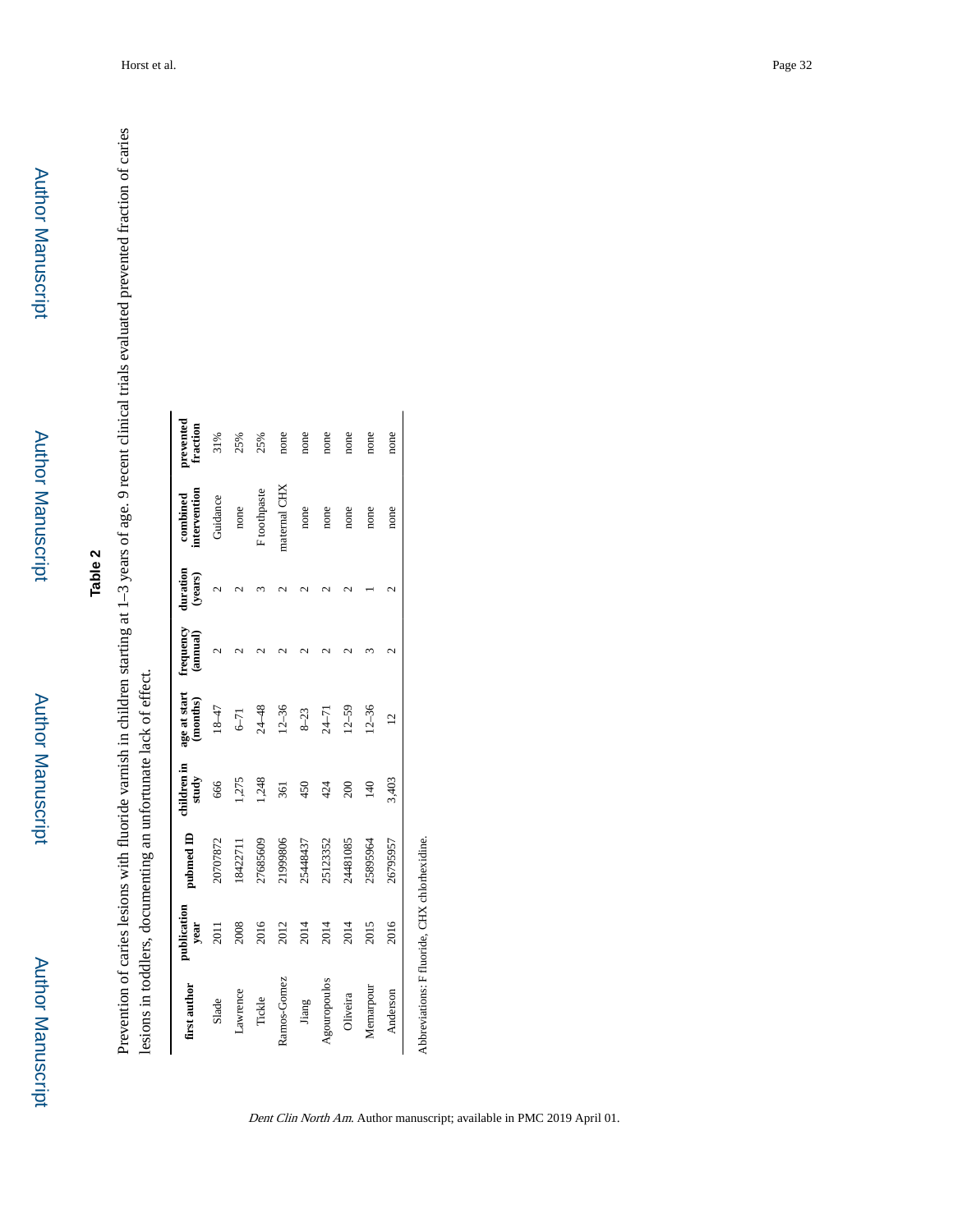Author Manuscript

**Author Manuscript** 

# **Table 2**

Prevention of caries lesions with fluoride varnish in children starting at 1-3 years of age. 9 recent clinical trials evaluated prevented fraction of caries Prevention of caries lesions with fluoride varnish in children starting at 1–3 years of age. 9 recent clinical trials evaluated prevented fraction of caries lesions in toddlers, documenting an unfortunate lack of effect. lesions in toddlers, documenting an unfortunate lack of effect.

| first author | publication<br>year | pubmed ID | children in<br>study | age at start<br>(months) | frequency<br>(annual) | duration<br>(years) | ntervention<br>combined | prevented<br>fraction |
|--------------|---------------------|-----------|----------------------|--------------------------|-----------------------|---------------------|-------------------------|-----------------------|
| Slade        | 2011                | 20707872  | 666                  | $18 - 47$                |                       |                     | Guidance                | 31%                   |
| Lawrence     | 2008                | 18422711  | 1,275                | $6 - 71$                 |                       |                     | none                    | 25%                   |
| Tickle       | 2016                | 27685609  | 1,248                | $24 - 48$                |                       |                     | F toothpaste            | 25%                   |
| Ramos-Gomez  | 2012                | 21999806  | 361                  | $12 - 36$                |                       |                     | maternal CHX            | none                  |
| Jiang        | 2014                | 25448437  | 450                  | $8 - 23$                 |                       |                     | none                    | none                  |
| Agouropoulos | 2014                | 25123352  | 424                  | $24 - 71$                |                       |                     | none                    | none                  |
| Oliveira     | 2014                | 24481085  | 200                  | $12 - 59$                |                       |                     | none                    | none                  |
| Memarpour    | 2015                | 25895964  | $\frac{40}{5}$       | $12 - 36$                |                       |                     | none                    | none                  |
| Anderson     | 2016                | 26795957  | 3,403                | $\overline{c}$           |                       |                     | none                    | none                  |

Abbreviations: F fluoride, CHX chlorhexidine.